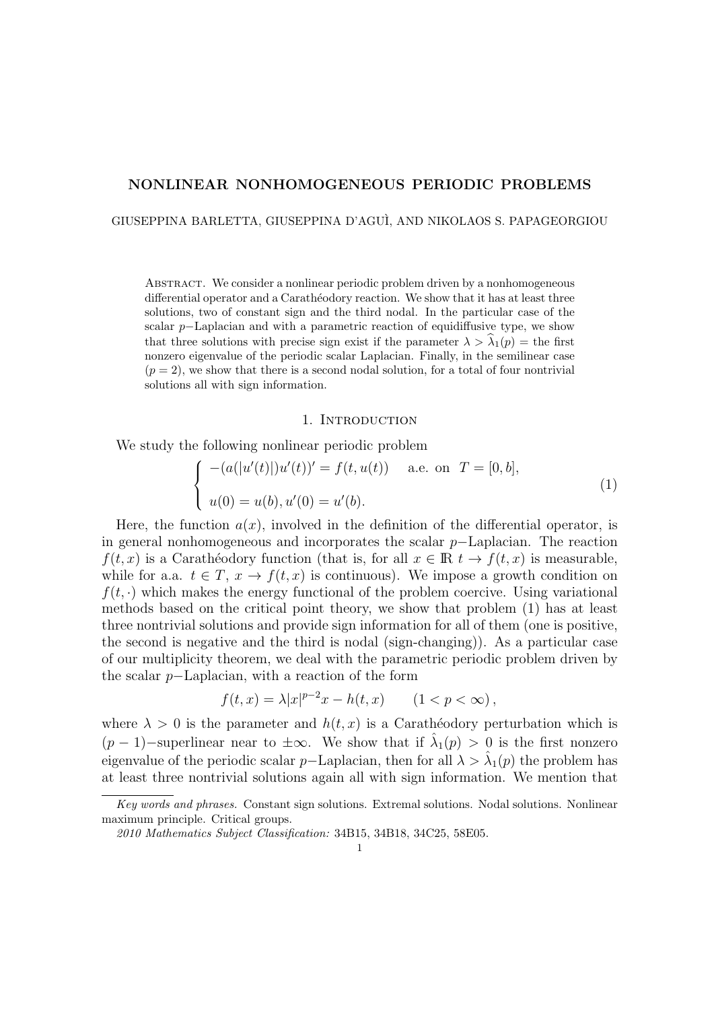### NONLINEAR NONHOMOGENEOUS PERIODIC PROBLEMS

GIUSEPPINA BARLETTA, GIUSEPPINA D'AGU`I, AND NIKOLAOS S. PAPAGEORGIOU

Abstract. We consider a nonlinear periodic problem driven by a nonhomogeneous differential operator and a Carathéodory reaction. We show that it has at least three solutions, two of constant sign and the third nodal. In the particular case of the scalar p–Laplacian and with a parametric reaction of equidiffusive type, we show that three solutions with precise sign exist if the parameter  $\lambda > \hat{\lambda}_1(p) =$  the first nonzero eigenvalue of the periodic scalar Laplacian. Finally, in the semilinear case  $(p = 2)$ , we show that there is a second nodal solution, for a total of four nontrivial solutions all with sign information.

### 1. INTRODUCTION

We study the following nonlinear periodic problem

$$
\begin{cases}\n-(a(|u'(t)|)u'(t))' = f(t, u(t)) & \text{a.e. on } T = [0, b], \\
u(0) = u(b), u'(0) = u'(b).\n\end{cases}
$$
\n(1)

Here, the function  $a(x)$ , involved in the definition of the differential operator, is in general nonhomogeneous and incorporates the scalar p−Laplacian. The reaction  $f(t, x)$  is a Carathéodory function (that is, for all  $x \in \mathbb{R}$   $t \to f(t, x)$  is measurable, while for a.a.  $t \in T$ ,  $x \to f(t, x)$  is continuous). We impose a growth condition on  $f(t, \cdot)$  which makes the energy functional of the problem coercive. Using variational methods based on the critical point theory, we show that problem (1) has at least three nontrivial solutions and provide sign information for all of them (one is positive, the second is negative and the third is nodal (sign-changing)). As a particular case of our multiplicity theorem, we deal with the parametric periodic problem driven by the scalar p−Laplacian, with a reaction of the form

$$
f(t,x) = \lambda |x|^{p-2}x - h(t,x) \qquad (1 < p < \infty),
$$

where  $\lambda > 0$  is the parameter and  $h(t, x)$  is a Caratheodory perturbation which is  $(p-1)$ -superlinear near to  $\pm \infty$ . We show that if  $\hat{\lambda}_1(p) > 0$  is the first nonzero eigenvalue of the periodic scalar p–Laplacian, then for all  $\lambda > \hat{\lambda}_1(p)$  the problem has at least three nontrivial solutions again all with sign information. We mention that

Key words and phrases. Constant sign solutions. Extremal solutions. Nodal solutions. Nonlinear maximum principle. Critical groups.

<sup>2010</sup> Mathematics Subject Classification: 34B15, 34B18, 34C25, 58E05.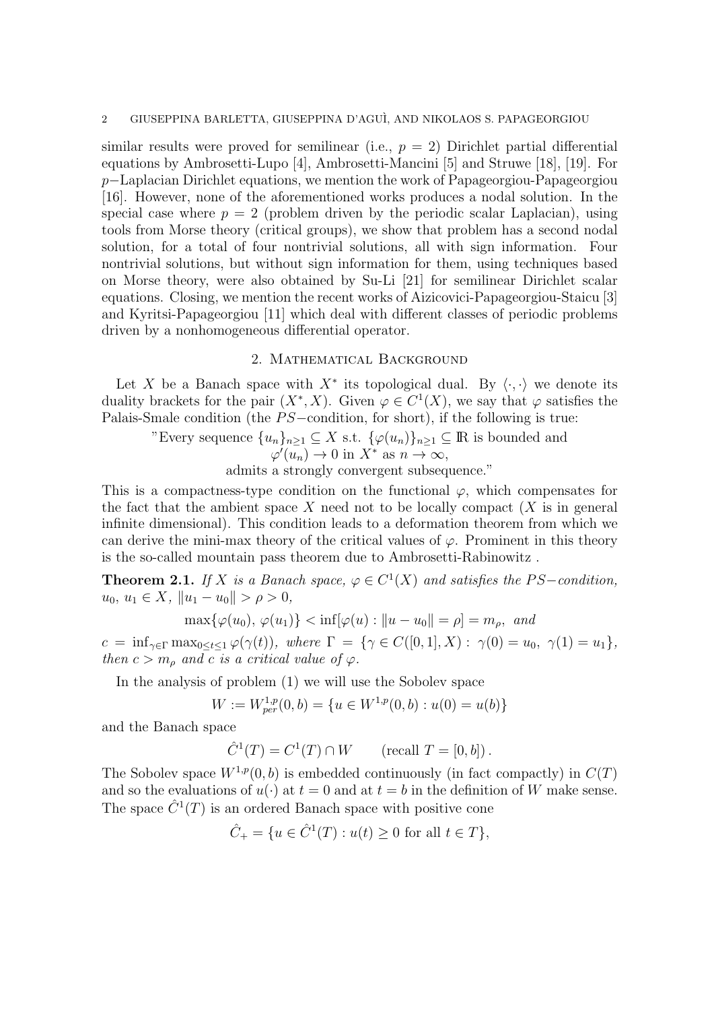similar results were proved for semilinear (i.e.,  $p = 2$ ) Dirichlet partial differential equations by Ambrosetti-Lupo [4], Ambrosetti-Mancini [5] and Struwe [18], [19]. For p−Laplacian Dirichlet equations, we mention the work of Papageorgiou-Papageorgiou [16]. However, none of the aforementioned works produces a nodal solution. In the special case where  $p = 2$  (problem driven by the periodic scalar Laplacian), using tools from Morse theory (critical groups), we show that problem has a second nodal solution, for a total of four nontrivial solutions, all with sign information. Four nontrivial solutions, but without sign information for them, using techniques based on Morse theory, were also obtained by Su-Li [21] for semilinear Dirichlet scalar equations. Closing, we mention the recent works of Aizicovici-Papageorgiou-Staicu [3] and Kyritsi-Papageorgiou [11] which deal with different classes of periodic problems driven by a nonhomogeneous differential operator.

### 2. Mathematical Background

Let X be a Banach space with  $X^*$  its topological dual. By  $\langle \cdot, \cdot \rangle$  we denote its duality brackets for the pair  $(X^*, X)$ . Given  $\varphi \in C^1(X)$ , we say that  $\varphi$  satisfies the Palais-Smale condition (the PS−condition, for short), if the following is true:

"Every sequence 
$$
\{u_n\}_{n\geq 1} \subseteq X
$$
 s.t.  $\{\varphi(u_n)\}_{n\geq 1} \subseteq \mathbb{R}$  is bounded and  $\varphi'(u_n) \to 0$  in  $X^*$  as  $n \to \infty$ ,

admits a strongly convergent subsequence."

This is a compactness-type condition on the functional  $\varphi$ , which compensates for the fact that the ambient space X need not to be locally compact  $(X$  is in general infinite dimensional). This condition leads to a deformation theorem from which we can derive the mini-max theory of the critical values of  $\varphi$ . Prominent in this theory is the so-called mountain pass theorem due to Ambrosetti-Rabinowitz .

**Theorem 2.1.** If X is a Banach space,  $\varphi \in C^1(X)$  and satisfies the PS-condition,  $u_0, u_1 \in X$ ,  $\|u_1 - u_0\| > \rho > 0$ ,

$$
\max{\{\varphi(u_0), \varphi(u_1)\}} < \inf[\varphi(u) : ||u - u_0|| = \rho] = m_\rho, \text{ and}
$$

 $c\ =\ \inf\nolimits_{\gamma\in\Gamma}\max\nolimits_{0\leq t\leq 1}\varphi(\gamma(t)),\ \ where\ \ \Gamma\ =\ \{\gamma\in C([0,1],X):\ \gamma(0)=u_0,\ \ \gamma(1)=u_1\},$ then  $c > m_\rho$  and c is a critical value of  $\varphi$ .

In the analysis of problem (1) we will use the Sobolev space

$$
W := W_{per}^{1,p}(0,b) = \{ u \in W^{1,p}(0,b) : u(0) = u(b) \}
$$

and the Banach space

$$
\hat{C}^1(T) = C^1(T) \cap W
$$
 (recall  $T = [0, b]$ ).

The Sobolev space  $W^{1,p}(0, b)$  is embedded continuously (in fact compactly) in  $C(T)$ and so the evaluations of  $u(\cdot)$  at  $t = 0$  and at  $t = b$  in the definition of W make sense. The space  $\hat{C}^1(T)$  is an ordered Banach space with positive cone

$$
\hat{C}_{+} = \{ u \in \hat{C}^{1}(T) : u(t) \ge 0 \text{ for all } t \in T \},
$$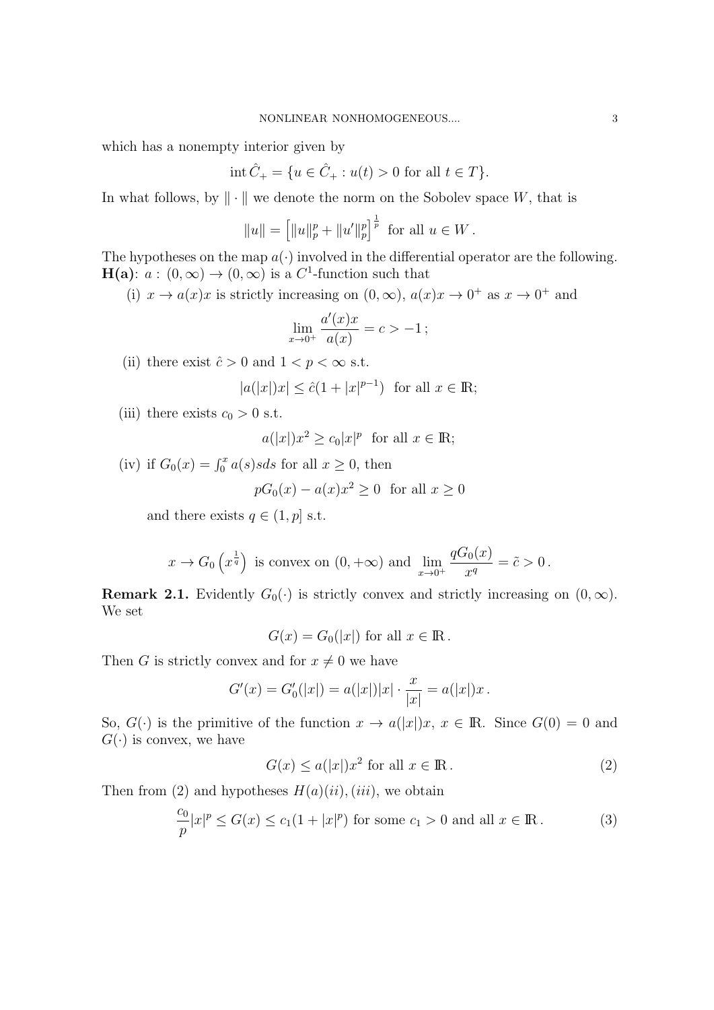which has a nonempty interior given by

$$
int \hat{C}_{+} = \{ u \in \hat{C}_{+} : u(t) > 0 \text{ for all } t \in T \}.
$$

In what follows, by  $\|\cdot\|$  we denote the norm on the Sobolev space W, that is

$$
||u|| = [||u||_p^p + ||u'||_p^p]^{\frac{1}{p}}
$$
 for all  $u \in W$ .

The hypotheses on the map  $a(\cdot)$  involved in the differential operator are the following.  $H(a): a:(0,\infty) \to (0,\infty)$  is a C<sup>1</sup>-function such that

(i)  $x \to a(x)x$  is strictly increasing on  $(0, \infty)$ ,  $a(x)x \to 0^+$  as  $x \to 0^+$  and

$$
\lim_{x \to 0^+} \frac{a'(x)x}{a(x)} = c > -1 ;
$$

(ii) there exist  $\hat{c} > 0$  and  $1 < p < \infty$  s.t.

$$
|a(|x|)x| \le \hat{c}(1+|x|^{p-1}) \quad \text{for all } x \in \mathbb{R};
$$

(iii) there exists  $c_0 > 0$  s.t.

$$
a(|x|)x^2 \ge c_0|x|^p
$$
 for all  $x \in \mathbb{R}$ ;

(iv) if  $G_0(x) = \int_0^x a(s)sds$  for all  $x \ge 0$ , then

$$
pG_0(x) - a(x)x^2 \ge 0 \text{ for all } x \ge 0
$$

and there exists  $q \in (1, p]$  s.t.

$$
x \to G_0\left(x^{\frac{1}{q}}\right)
$$
 is convex on  $(0, +\infty)$  and  $\lim_{x \to 0^+} \frac{qG_0(x)}{x^q} = \tilde{c} > 0$ .

**Remark 2.1.** Evidently  $G_0(\cdot)$  is strictly convex and strictly increasing on  $(0,\infty)$ . We set

$$
G(x) = G_0(|x|) \text{ for all } x \in \mathbb{R}.
$$

Then G is strictly convex and for  $x \neq 0$  we have

$$
G'(x) = G'_{0}(|x|) = a(|x|)|x| \cdot \frac{x}{|x|} = a(|x|)x.
$$

So,  $G(\cdot)$  is the primitive of the function  $x \to a(|x|)x$ ,  $x \in \mathbb{R}$ . Since  $G(0) = 0$  and  $G(\cdot)$  is convex, we have

$$
G(x) \le a(|x|)x^2 \text{ for all } x \in \mathbb{R}.
$$
 (2)

Then from (2) and hypotheses  $H(a)(ii)$ , (iii), we obtain

$$
\frac{c_0}{p}|x|^p \le G(x) \le c_1(1+|x|^p) \text{ for some } c_1 > 0 \text{ and all } x \in \mathbb{R}.
$$
 (3)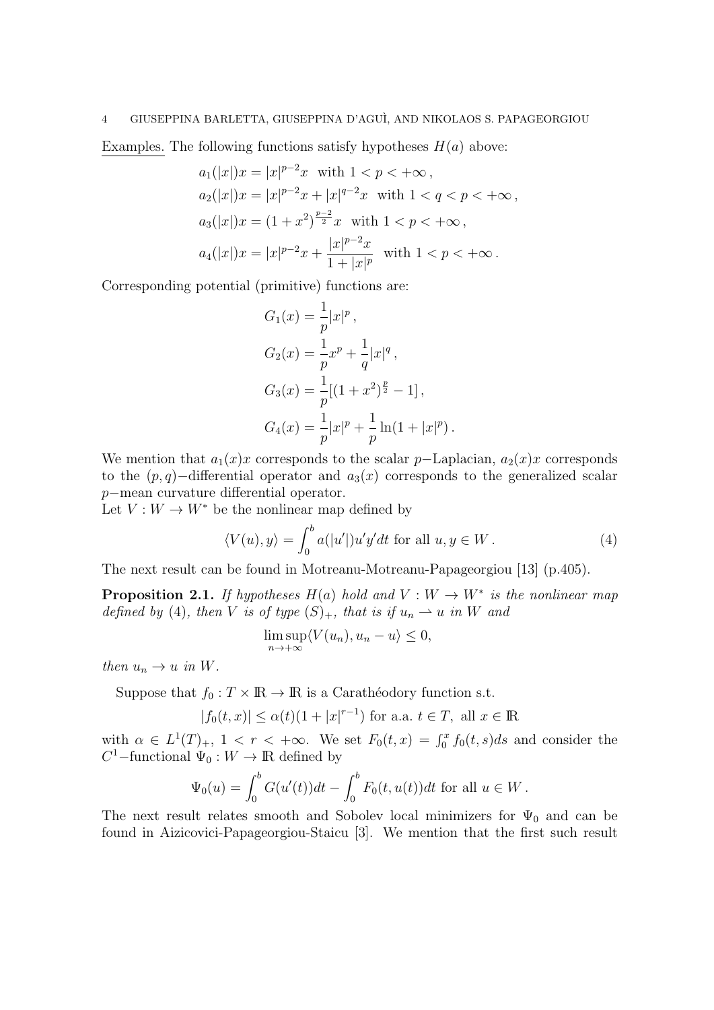Examples. The following functions satisfy hypotheses  $H(a)$  above:

$$
a_1(|x|)x = |x|^{p-2}x \text{ with } 1 < p < +\infty,
$$
  
\n
$$
a_2(|x|)x = |x|^{p-2}x + |x|^{q-2}x \text{ with } 1 < q < p < +\infty,
$$
  
\n
$$
a_3(|x|)x = (1+x^2)^{\frac{p-2}{2}}x \text{ with } 1 < p < +\infty,
$$
  
\n
$$
a_4(|x|)x = |x|^{p-2}x + \frac{|x|^{p-2}x}{1+|x|^p} \text{ with } 1 < p < +\infty.
$$

Corresponding potential (primitive) functions are:

$$
G_1(x) = \frac{1}{p}|x|^p,
$$
  
\n
$$
G_2(x) = \frac{1}{p}x^p + \frac{1}{q}|x|^q,
$$
  
\n
$$
G_3(x) = \frac{1}{p}[(1+x^2)^{\frac{p}{2}} - 1],
$$
  
\n
$$
G_4(x) = \frac{1}{p}|x|^p + \frac{1}{p}\ln(1+|x|^p).
$$

We mention that  $a_1(x)x$  corresponds to the scalar p–Laplacian,  $a_2(x)x$  corresponds to the  $(p, q)$ –differential operator and  $a_3(x)$  corresponds to the generalized scalar p−mean curvature differential operator.

Let  $V: W \to W^*$  be the nonlinear map defined by

$$
\langle V(u), y \rangle = \int_0^b a(|u'|) u' y' dt \text{ for all } u, y \in W.
$$
 (4)

The next result can be found in Motreanu-Motreanu-Papageorgiou [13] (p.405).

**Proposition 2.1.** If hypotheses  $H(a)$  hold and  $V: W \to W^*$  is the nonlinear map defined by (4), then V is of type  $(S)_+$ , that is if  $u_n \rightharpoonup u$  in W and

$$
\limsup_{n \to +\infty} \langle V(u_n), u_n - u \rangle \le 0,
$$

then  $u_n \to u$  in W.

Suppose that  $f_0 : T \times \mathbb{R} \to \mathbb{R}$  is a Carathéodory function s.t.

$$
|f_0(t, x)| \le \alpha(t)(1 + |x|^{r-1})
$$
 for a.a.  $t \in T$ , all  $x \in \mathbb{R}$ 

with  $\alpha \in L^1(T)_+$ ,  $1 < r < +\infty$ . We set  $F_0(t,x) = \int_0^x f_0(t,s)ds$  and consider the  $C^1$ –functional  $\Psi_0: W \to \mathbb{R}$  defined by

$$
\Psi_0(u) = \int_0^b G(u'(t))dt - \int_0^b F_0(t, u(t))dt \text{ for all } u \in W.
$$

The next result relates smooth and Sobolev local minimizers for  $\Psi_0$  and can be found in Aizicovici-Papageorgiou-Staicu [3]. We mention that the first such result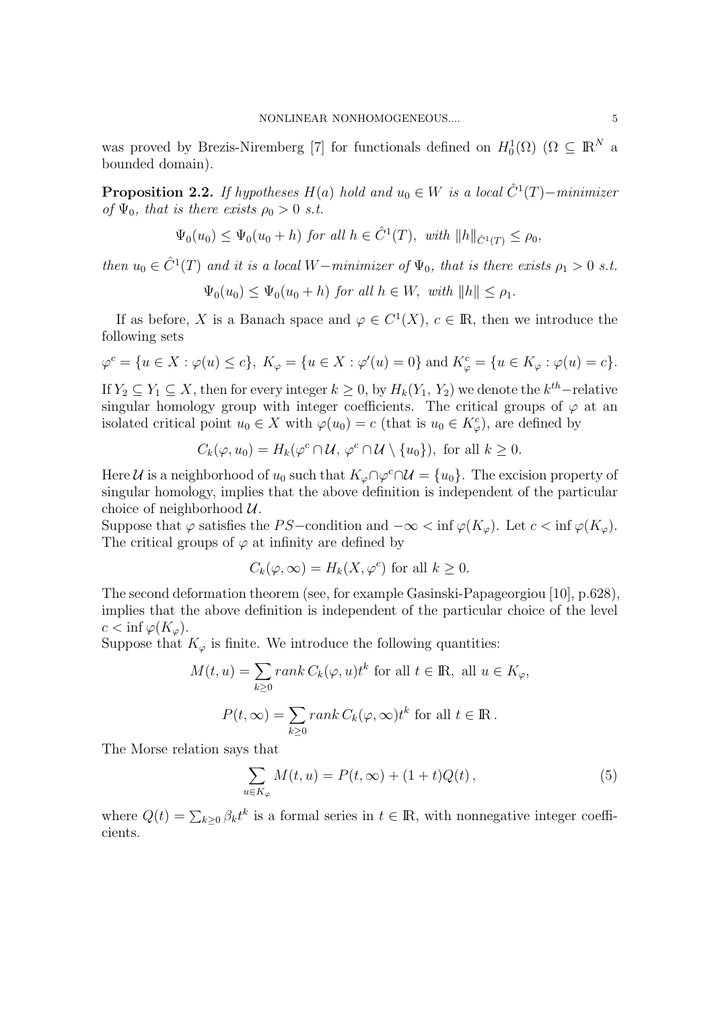was proved by Brezis-Niremberg [7] for functionals defined on  $H_0^1(\Omega)$  ( $\Omega \subseteq \mathbb{R}^N$  a bounded domain).

**Proposition 2.2.** If hypotheses  $H(a)$  hold and  $u_0 \in W$  is a local  $\hat{C}^1(T)$ -minimizer of  $\Psi_0$ , that is there exists  $\rho_0 > 0$  s.t.

$$
\Psi_0(u_0) \le \Psi_0(u_0 + h) \text{ for all } h \in \hat{C}^1(T), \text{ with } ||h||_{\hat{C}^1(T)} \le \rho_0,
$$

then  $u_0 \in \hat{C}^1(T)$  and it is a local W−minimizer of  $\Psi_0$ , that is there exists  $\rho_1 > 0$  s.t.

$$
\Psi_0(u_0) \le \Psi_0(u_0 + h) \text{ for all } h \in W, \text{ with } ||h|| \le \rho_1.
$$

If as before, X is a Banach space and  $\varphi \in C^1(X)$ ,  $c \in \mathbb{R}$ , then we introduce the following sets

$$
\varphi^{c} = \{u \in X : \varphi(u) \le c\}, K_{\varphi} = \{u \in X : \varphi'(u) = 0\} \text{ and } K_{\varphi}^{c} = \{u \in K_{\varphi} : \varphi(u) = c\}.
$$

If  $Y_2 \subseteq Y_1 \subseteq X$ , then for every integer  $k \geq 0$ , by  $H_k(Y_1, Y_2)$  we denote the  $k^{th}$ -relative singular homology group with integer coefficients. The critical groups of  $\varphi$  at an isolated critical point  $u_0 \in X$  with  $\varphi(u_0) = c$  (that is  $u_0 \in K_{\varphi}^c$ ), are defined by

$$
C_k(\varphi, u_0) = H_k(\varphi^c \cap \mathcal{U}, \varphi^c \cap \mathcal{U} \setminus \{u_0\}), \text{ for all } k \ge 0.
$$

Here U is a neighborhood of  $u_0$  such that  $K_{\varphi} \cap \varphi^c \cap U = \{u_0\}$ . The excision property of singular homology, implies that the above definition is independent of the particular choice of neighborhood  $\mathcal{U}$ .

Suppose that  $\varphi$  satisfies the PS-condition and  $-\infty < \inf \varphi(K_{\varphi})$ . Let  $c < \inf \varphi(K_{\varphi})$ . The critical groups of  $\varphi$  at infinity are defined by

$$
C_k(\varphi,\infty) = H_k(X,\varphi^c)
$$
 for all  $k \ge 0$ .

The second deformation theorem (see, for example Gasinski-Papageorgiou [10], p.628), implies that the above definition is independent of the particular choice of the level  $c < \inf \varphi(K_{\varphi}).$ 

Suppose that  $K_{\varphi}$  is finite. We introduce the following quantities:

$$
M(t, u) = \sum_{k \ge 0} rank C_k(\varphi, u)t^k \text{ for all } t \in \mathbb{R}, \text{ all } u \in K_{\varphi},
$$
  

$$
P(t, \infty) = \sum_{k \ge 0} rank C_k(\varphi, \infty)t^k \text{ for all } t \in \mathbb{R}.
$$

The Morse relation says that

$$
\sum_{u \in K_{\varphi}} M(t, u) = P(t, \infty) + (1 + t)Q(t),
$$
\n(5)

where  $Q(t) = \sum_{k\geq 0} \beta_k t^k$  is a formal series in  $t \in \mathbb{R}$ , with nonnegative integer coefficients.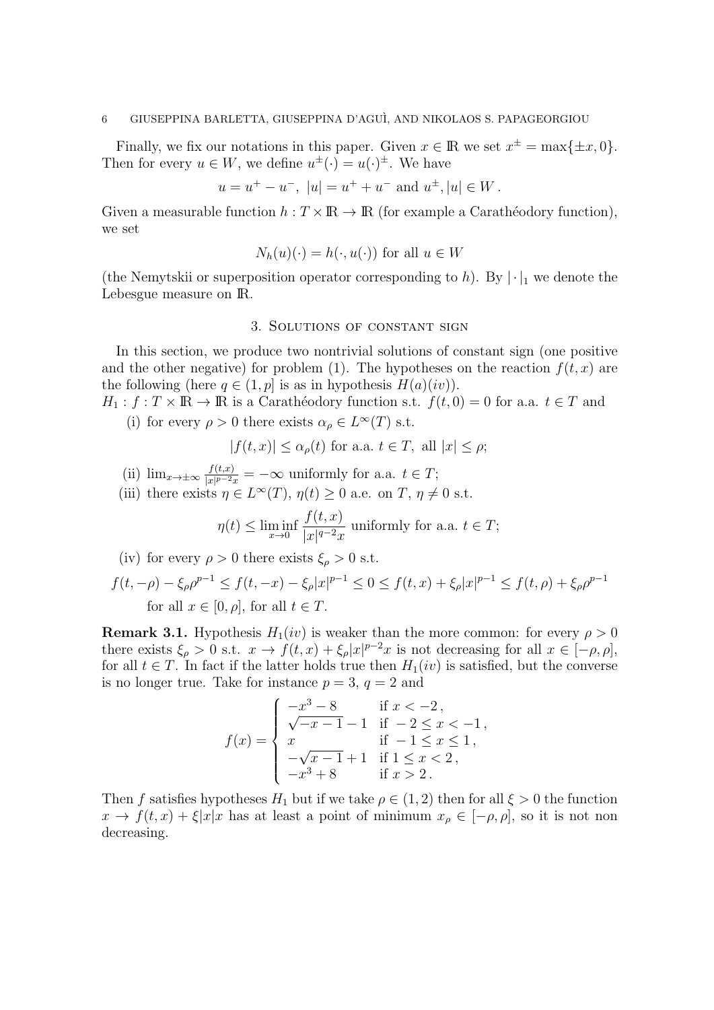Finally, we fix our notations in this paper. Given  $x \in \mathbb{R}$  we set  $x^{\pm} = \max\{\pm x, 0\}.$ Then for every  $u \in W$ , we define  $u^{\pm}(\cdot) = u(\cdot)^{\pm}$ . We have

$$
u = u^{+} - u^{-}
$$
,  $|u| = u^{+} + u^{-}$  and  $u^{\pm}$ ,  $|u| \in W$ .

Given a measurable function  $h: T \times \mathbb{R} \to \mathbb{R}$  (for example a Carathéodory function), we set

$$
N_h(u)(\cdot) = h(\cdot, u(\cdot))
$$
 for all  $u \in W$ 

(the Nemytskii or superposition operator corresponding to h). By  $|\cdot|_1$  we denote the Lebesgue measure on IR.

#### 3. Solutions of constant sign

In this section, we produce two nontrivial solutions of constant sign (one positive and the other negative) for problem (1). The hypotheses on the reaction  $f(t, x)$  are the following (here  $q \in (1, p]$  is as in hypothesis  $H(a)(iv)$ ).

 $H_1: f: T \times \mathbb{R} \to \mathbb{R}$  is a Caratheodory function s.t.  $f(t, 0) = 0$  for a.a.  $t \in T$  and (i) for every  $\rho > 0$  there exists  $\alpha_{\rho} \in L^{\infty}(T)$  s.t.

$$
|f(t,x)| \leq \alpha_{\rho}(t)
$$
 for a.a.  $t \in T$ , all  $|x| \leq \rho$ ;

- (ii)  $\lim_{x\to\pm\infty}\frac{f(t,x)}{|x|^{p-2}x}$  $\frac{f(t,x)}{|x|^{p-2}x} = -\infty$  uniformly for a.a.  $t \in T$ ;
- (iii) there exists  $\eta \in L^{\infty}(T)$ ,  $\eta(t) \geq 0$  a.e. on  $T$ ,  $\eta \neq 0$  s.t.

$$
\eta(t) \le \liminf_{x \to 0} \frac{f(t, x)}{|x|^{q-2}x}
$$
 uniformly for a.a.  $t \in T$ ;

(iv) for every 
$$
\rho > 0
$$
 there exists  $\xi_{\rho} > 0$  s.t.

$$
f(t, -\rho) - \xi_{\rho}\rho^{p-1} \le f(t, -x) - \xi_{\rho}|x|^{p-1} \le 0 \le f(t, x) + \xi_{\rho}|x|^{p-1} \le f(t, \rho) + \xi_{\rho}\rho^{p-1}
$$
  
for all  $x \in [0, \rho]$ , for all  $t \in T$ .

**Remark 3.1.** Hypothesis  $H_1(iv)$  is weaker than the more common: for every  $\rho > 0$ there exists  $\xi_{\rho} > 0$  s.t.  $x \to f(t, x) + \xi_{\rho} |x|^{p-2}x$  is not decreasing for all  $x \in [-\rho, \rho],$ for all  $t \in T$ . In fact if the latter holds true then  $H_1(iv)$  is satisfied, but the converse is no longer true. Take for instance  $p = 3$ ,  $q = 2$  and

$$
f(x) = \begin{cases} -x^3 - 8 & \text{if } x < -2, \\ \sqrt{-x - 1} - 1 & \text{if } -2 \le x < -1, \\ x & \text{if } -1 \le x \le 1, \\ -\sqrt{x - 1} + 1 & \text{if } 1 \le x < 2, \\ -x^3 + 8 & \text{if } x > 2. \end{cases}
$$

Then f satisfies hypotheses  $H_1$  but if we take  $\rho \in (1,2)$  then for all  $\xi > 0$  the function  $x \to f(t, x) + \xi |x|x$  has at least a point of minimum  $x_{\rho} \in [-\rho, \rho]$ , so it is not non decreasing.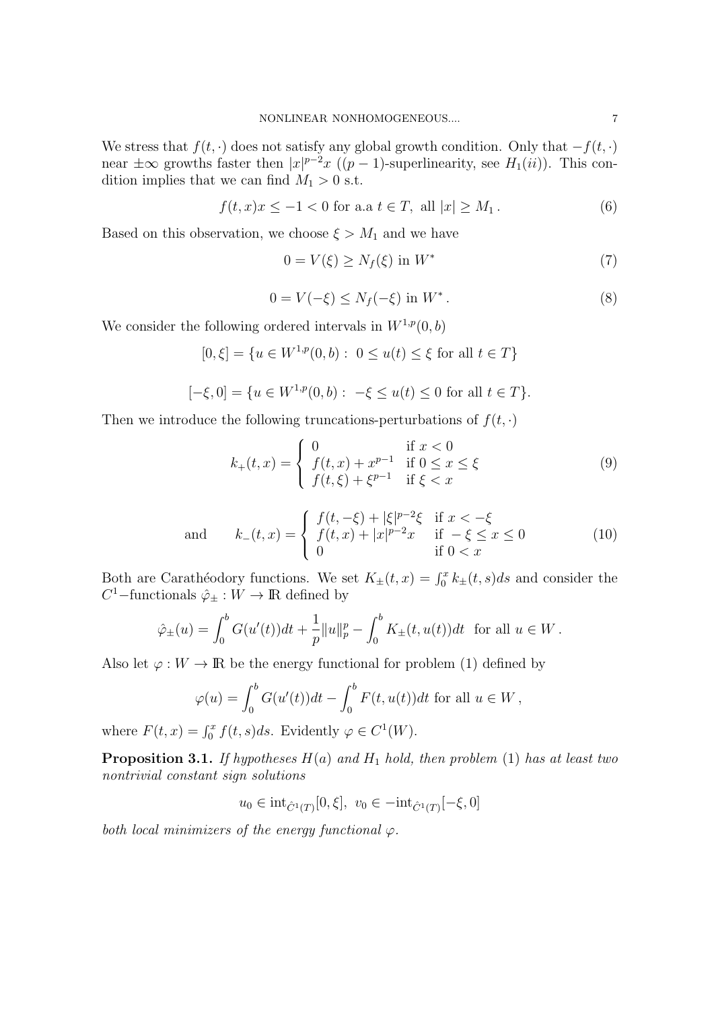We stress that  $f(t, \cdot)$  does not satisfy any global growth condition. Only that  $-f(t, \cdot)$ near  $\pm \infty$  growths faster then  $|x|^{p-2}x$  ((p – 1)-superlinearity, see  $H_1(ii)$ ). This condition implies that we can find  $M_1 > 0$  s.t.

$$
f(t, x)x \le -1 < 0
$$
 for a.a  $t \in T$ , all  $|x| \ge M_1$ . (6)

Based on this observation, we choose  $\xi > M_1$  and we have

$$
0 = V(\xi) \ge N_f(\xi) \text{ in } W^* \tag{7}
$$

$$
0 = V(-\xi) \le N_f(-\xi) \text{ in } W^* \,. \tag{8}
$$

We consider the following ordered intervals in  $W^{1,p}(0, b)$ 

$$
[0,\xi] = \{ u \in W^{1,p}(0,b) : 0 \le u(t) \le \xi \text{ for all } t \in T \}
$$

$$
[-\xi, 0] = \{ u \in W^{1, p}(0, b) : -\xi \le u(t) \le 0 \text{ for all } t \in T \}.
$$

Then we introduce the following truncations-perturbations of  $f(t, \cdot)$ 

$$
k_{+}(t,x) = \begin{cases} 0 & \text{if } x < 0\\ f(t,x) + x^{p-1} & \text{if } 0 \le x \le \xi\\ f(t,\xi) + \xi^{p-1} & \text{if } \xi < x \end{cases}
$$
(9)

and 
$$
k_{-}(t,x) = \begin{cases} f(t,-\xi) + |\xi|^{p-2}\xi & \text{if } x < -\xi \\ f(t,x) + |x|^{p-2}x & \text{if } -\xi \le x \le 0 \\ 0 & \text{if } 0 < x \end{cases}
$$
 (10)

Both are Carathéodory functions. We set  $K_{\pm}(t, x) = \int_0^x k_{\pm}(t, s)ds$  and consider the  $C^1$ –functionals  $\hat{\varphi}_\pm : W \to \mathbb{R}$  defined by

$$
\hat{\varphi}_{\pm}(u) = \int_0^b G(u'(t))dt + \frac{1}{p}||u||_p^p - \int_0^b K_{\pm}(t, u(t))dt \text{ for all } u \in W.
$$

Also let  $\varphi : W \to \mathbb{R}$  be the energy functional for problem (1) defined by

$$
\varphi(u) = \int_0^b G(u'(t))dt - \int_0^b F(t, u(t))dt \text{ for all } u \in W,
$$

where  $F(t, x) = \int_0^x f(t, s)ds$ . Evidently  $\varphi \in C^1(W)$ .

**Proposition 3.1.** If hypotheses  $H(a)$  and  $H_1$  hold, then problem (1) has at least two nontrivial constant sign solutions

 $u_0 \in \text{int}_{\hat{C}^1(T)}[0,\xi], v_0 \in -\text{int}_{\hat{C}^1(T)}[-\xi,0]$ 

both local minimizers of the energy functional  $\varphi$ .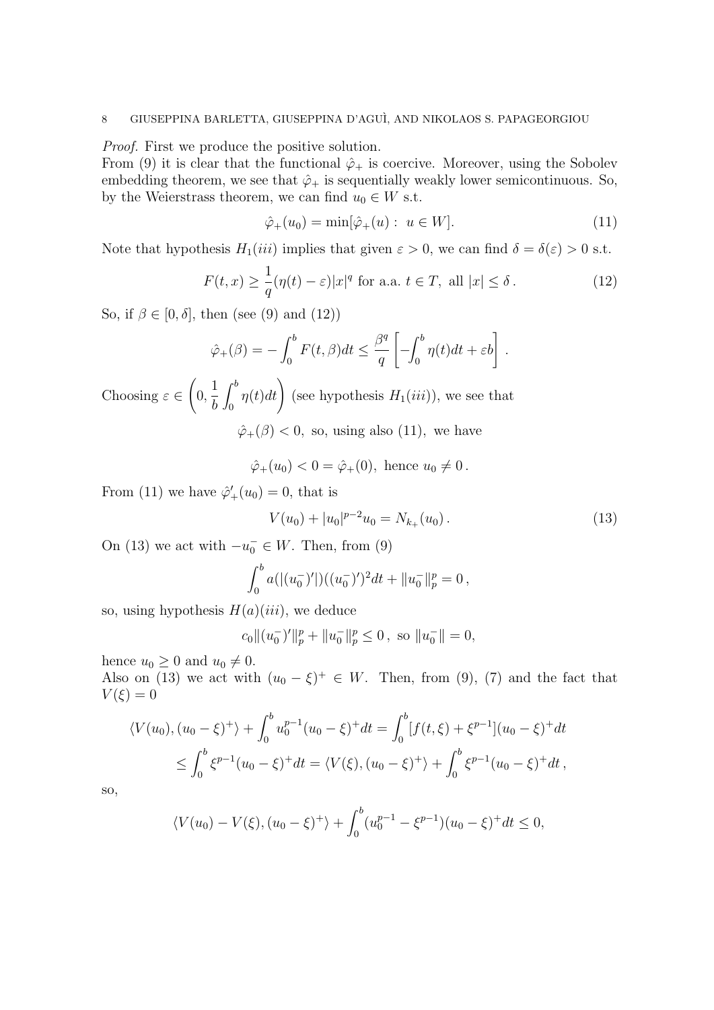Proof. First we produce the positive solution.

From (9) it is clear that the functional  $\hat{\varphi}_+$  is coercive. Moreover, using the Sobolev embedding theorem, we see that  $\hat{\varphi}_+$  is sequentially weakly lower semicontinuous. So, by the Weierstrass theorem, we can find  $u_0 \in W$  s.t.

$$
\hat{\varphi}_+(u_0) = \min[\hat{\varphi}_+(u) : u \in W]. \tag{11}
$$

Note that hypothesis  $H_1(iii)$  implies that given  $\varepsilon > 0$ , we can find  $\delta = \delta(\varepsilon) > 0$  s.t.

$$
F(t,x) \ge \frac{1}{q}(\eta(t) - \varepsilon)|x|^q \text{ for a.a. } t \in T, \text{ all } |x| \le \delta.
$$
 (12)

So, if  $\beta \in [0, \delta]$ , then (see (9) and (12))

$$
\hat{\varphi}_{+}(\beta) = -\int_0^b F(t,\beta)dt \leq \frac{\beta^q}{q} \left[ -\int_0^b \eta(t)dt + \varepsilon b \right].
$$

Choosing  $\varepsilon \in$  $\sqrt{ }$ 0, 1 b  $\int^b$  $\int_0^b \eta(t)dt$  (see hypothesis  $H_1(iii)$ ), we see that  $\hat{\varphi}_{+}(\beta) < 0$ , so, using also (11), we have

$$
\hat{\varphi}_+(u_0) < 0 = \hat{\varphi}_+(0)
$$
, hence  $u_0 \neq 0$ .

From (11) we have  $\hat{\varphi}'_+(u_0) = 0$ , that is

$$
V(u_0) + |u_0|^{p-2}u_0 = N_{k_+}(u_0).
$$
\n(13)

On (13) we act with  $-u_0^- \in W$ . Then, from (9)

$$
\int_0^b a(|(u_0^-)'|)((u_0^-)')^2 dt + ||u_0^-||_p^p = 0,
$$

so, using hypothesis  $H(a)(iii)$ , we deduce

$$
c_0 \|(u_0^-)'\|_p^p + \|u_0^-\|_p^p \le 0
$$
, so  $||u_0^-|| = 0$ ,

hence  $u_0 \geq 0$  and  $u_0 \neq 0$ .

Also on (13) we act with  $(u_0 - \xi)^+ \in W$ . Then, from (9), (7) and the fact that  $V(\xi)=0$ 

$$
\langle V(u_0), (u_0 - \xi)^+ \rangle + \int_0^b u_0^{p-1} (u_0 - \xi)^+ dt = \int_0^b [f(t, \xi) + \xi^{p-1}] (u_0 - \xi)^+ dt
$$
  

$$
\leq \int_0^b \xi^{p-1} (u_0 - \xi)^+ dt = \langle V(\xi), (u_0 - \xi)^+ \rangle + \int_0^b \xi^{p-1} (u_0 - \xi)^+ dt,
$$

so,

$$
\langle V(u_0) - V(\xi), (u_0 - \xi)^+ \rangle + \int_0^b (u_0^{p-1} - \xi^{p-1})(u_0 - \xi)^+ dt \le 0,
$$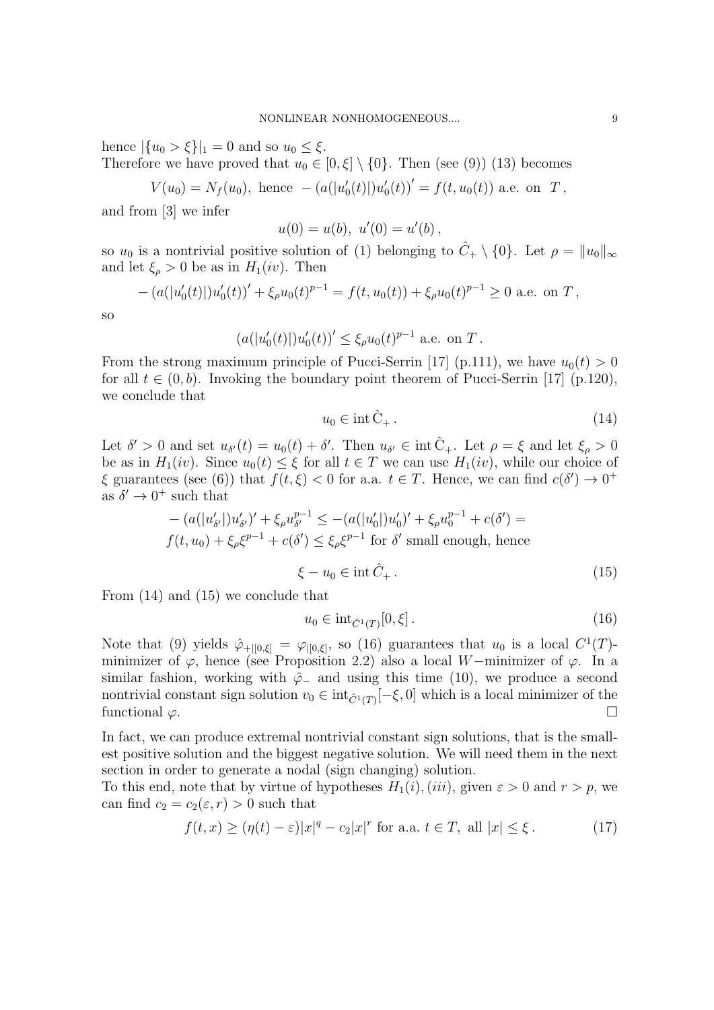hence  $|\{u_0 > \xi\}|_1 = 0$  and so  $u_0 \leq \xi$ .

Therefore we have proved that  $u_0 \in [0, \xi] \setminus \{0\}$ . Then (see (9)) (13) becomes

$$
V(u_0) = N_f(u_0), \text{ hence } -(a(|u'_0(t)|)u'_0(t))' = f(t, u_0(t)) \text{ a.e. on } T,
$$

and from [3] we infer

$$
u(0) = u(b), \ u'(0) = u'(b),
$$

so  $u_0$  is a nontrivial positive solution of (1) belonging to  $\hat{C}_+ \setminus \{0\}$ . Let  $\rho = ||u_0||_{\infty}$ and let  $\xi_{\rho} > 0$  be as in  $H_1(iv)$ . Then

$$
- (a(|u'_0(t)|)u'_0(t))' + \xi_\rho u_0(t)^{p-1} = f(t, u_0(t)) + \xi_\rho u_0(t)^{p-1} \ge 0
$$
 a.e. on T,

so

$$
(a(|u'_0(t)|)u'_0(t))' \le \xi_\rho u_0(t)^{p-1} \text{ a.e. on } T.
$$

From the strong maximum principle of Pucci-Serrin [17] (p.111), we have  $u_0(t) > 0$ for all  $t \in (0, b)$ . Invoking the boundary point theorem of Pucci-Serrin [17] (p.120), we conclude that

$$
u_0 \in \text{int} \,\hat{C}_+ \,. \tag{14}
$$

Let  $\delta' > 0$  and set  $u_{\delta'}(t) = u_0(t) + \delta'$ . Then  $u_{\delta'} \in \text{int } \hat{C}_{+}$ . Let  $\rho = \xi$  and let  $\xi_{\rho} > 0$ be as in  $H_1(iv)$ . Since  $u_0(t) \leq \xi$  for all  $t \in T$  we can use  $H_1(iv)$ , while our choice of  $\xi$  guarantees (see (6)) that  $f(t,\xi) < 0$  for a.a.  $t \in T$ . Hence, we can find  $c(\delta') \to 0^+$ as  $\delta' \rightarrow 0^+$  such that

$$
- (a(|u'_{\delta'}|)u'_{\delta'})' + \xi_{\rho}u_{\delta'}^{p-1} \le -(a(|u'_{0}|)u'_{0})' + \xi_{\rho}u_{0}^{p-1} + c(\delta') =
$$
  

$$
f(t, u_{0}) + \xi_{\rho}\xi^{p-1} + c(\delta') \le \xi_{\rho}\xi^{p-1} \text{ for } \delta' \text{ small enough, hence}
$$

$$
\xi - u_0 \in \operatorname{int} \hat{C}_+ \,. \tag{15}
$$

From (14) and (15) we conclude that

$$
u_0 \in \text{int}_{\hat{C}^1(T)}[0,\xi].
$$
\n(16)

Note that (9) yields  $\hat{\varphi}_{+|[0,\xi]} = \varphi_{|[0,\xi]}$ , so (16) guarantees that  $u_0$  is a local  $C^1(T)$ minimizer of  $\varphi$ , hence (see Proposition 2.2) also a local W−minimizer of  $\varphi$ . In a similar fashion, working with  $\hat{\varphi}$  and using this time (10), we produce a second nontrivial constant sign solution  $v_0 \in \text{int}_{\hat{C}^1(T)}[-\xi, 0]$  which is a local minimizer of the functional  $\varphi$ .

In fact, we can produce extremal nontrivial constant sign solutions, that is the smallest positive solution and the biggest negative solution. We will need them in the next section in order to generate a nodal (sign changing) solution.

To this end, note that by virtue of hypotheses  $H_1(i)$ ,  $(iii)$ , given  $\varepsilon > 0$  and  $r > p$ , we can find  $c_2 = c_2(\varepsilon, r) > 0$  such that

$$
f(t,x) \ge (\eta(t) - \varepsilon)|x|^q - c_2|x|^r \text{ for a.a. } t \in T, \text{ all } |x| \le \xi. \tag{17}
$$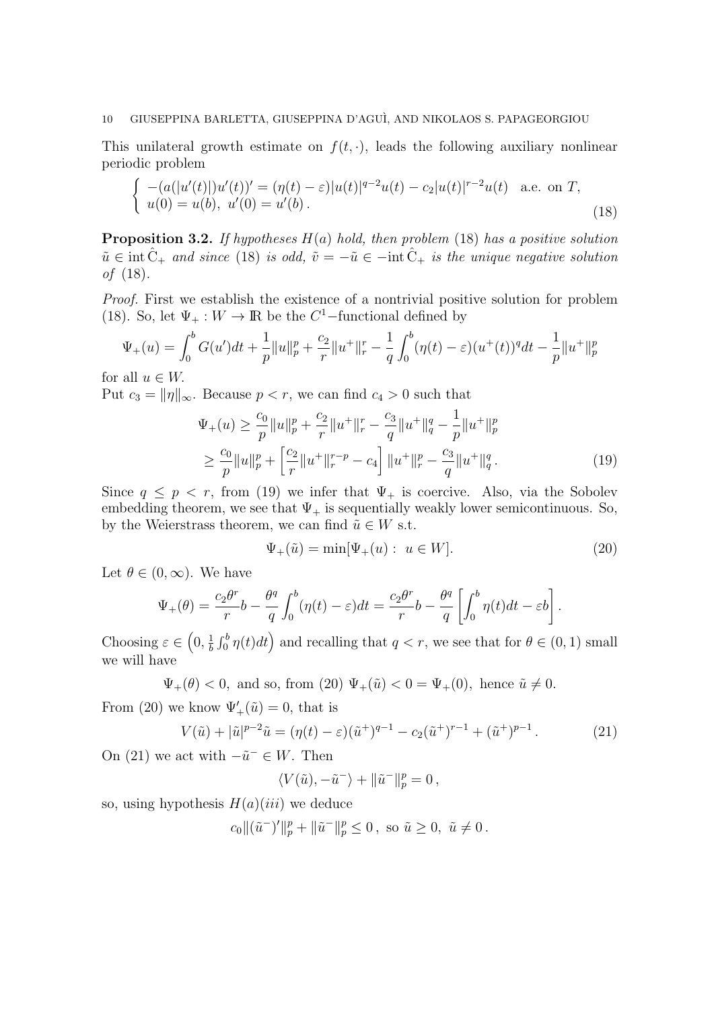This unilateral growth estimate on  $f(t, \cdot)$ , leads the following auxiliary nonlinear periodic problem

$$
\begin{cases}\n-(a(|u'(t)|)u'(t))' = (\eta(t) - \varepsilon)|u(t)|^{q-2}u(t) - c_2|u(t)|^{r-2}u(t) \text{ a.e. on } T, \\
u(0) = u(b), u'(0) = u'(b).\n\end{cases}
$$
\n(18)

**Proposition 3.2.** If hypotheses  $H(a)$  hold, then problem (18) has a positive solution  $\tilde{u} \in \text{int} \, \hat{C}_{+}$  and since (18) is odd,  $\tilde{v} = -\tilde{u} \in -\text{int} \, \hat{C}_{+}$  is the unique negative solution of (18).

Proof. First we establish the existence of a nontrivial positive solution for problem (18). So, let  $\Psi_+ : W \to \mathbb{R}$  be the  $C^1$ -functional defined by

$$
\Psi_{+}(u) = \int_{0}^{b} G(u')dt + \frac{1}{p}||u||_{p}^{p} + \frac{c_{2}}{r}||u^{+}||_{r}^{r} - \frac{1}{q}\int_{0}^{b} (\eta(t) - \varepsilon)(u^{+}(t))^{q}dt - \frac{1}{p}||u^{+}||_{p}^{p}
$$

for all  $u \in W$ .

Put  $c_3 = ||\eta||_{\infty}$ . Because  $p < r$ , we can find  $c_4 > 0$  such that

$$
\Psi_{+}(u) \geq \frac{c_{0}}{p} \|u\|_{p}^{p} + \frac{c_{2}}{r} \|u^{+}\|_{r}^{r} - \frac{c_{3}}{q} \|u^{+}\|_{q}^{q} - \frac{1}{p} \|u^{+}\|_{p}^{p}
$$
\n
$$
\geq \frac{c_{0}}{p} \|u\|_{p}^{p} + \left[\frac{c_{2}}{r} \|u^{+}\|_{r}^{r-p} - c_{4}\right] \|u^{+}\|_{r}^{p} - \frac{c_{3}}{q} \|u^{+}\|_{q}^{q}.
$$
\n(19)

Since  $q \leq p \leq r$ , from (19) we infer that  $\Psi_{+}$  is coercive. Also, via the Sobolev embedding theorem, we see that  $\Psi_+$  is sequentially weakly lower semicontinuous. So, by the Weierstrass theorem, we can find  $\tilde{u} \in W$  s.t.

$$
\Psi_{+}(\tilde{u}) = \min[\Psi_{+}(u): u \in W]. \tag{20}
$$

Let  $\theta \in (0,\infty)$ . We have

$$
\Psi_+(\theta) = \frac{c_2 \theta^r}{r} b - \frac{\theta^q}{q} \int_0^b (\eta(t) - \varepsilon) dt = \frac{c_2 \theta^r}{r} b - \frac{\theta^q}{q} \left[ \int_0^b \eta(t) dt - \varepsilon b \right].
$$

Choosing  $\varepsilon \in \left(0, \frac{1}{b}\right)$  $\frac{1}{b} \int_0^b \eta(t) dt$  and recalling that  $q < r$ , we see that for  $\theta \in (0, 1)$  small we will have

 $\Psi_+(\theta) < 0$ , and so, from (20)  $\Psi_+(\tilde{u}) < 0 = \Psi_+(0)$ , hence  $\tilde{u} \neq 0$ .

From (20) we know  $\Psi'_{+}(\tilde{u}) = 0$ , that is

$$
V(\tilde{u}) + |\tilde{u}|^{p-2}\tilde{u} = (\eta(t) - \varepsilon)(\tilde{u}^+)^{q-1} - c_2(\tilde{u}^+)^{r-1} + (\tilde{u}^+)^{p-1}.
$$
 (21)

On (21) we act with  $-\tilde{u}^- \in W$ . Then

$$
\langle V(\tilde{u}), -\tilde{u}^-\rangle + \|\tilde{u}^-\|_p^p = 0,
$$

so, using hypothesis  $H(a)(iii)$  we deduce

$$
c_0\|(\tilde u^-)'\|_p^p+\|\tilde u^-\|_p^p\leq 0\,,\,\,\text{so}\,\,\tilde u\geq 0,\,\,\tilde u\neq 0\,.
$$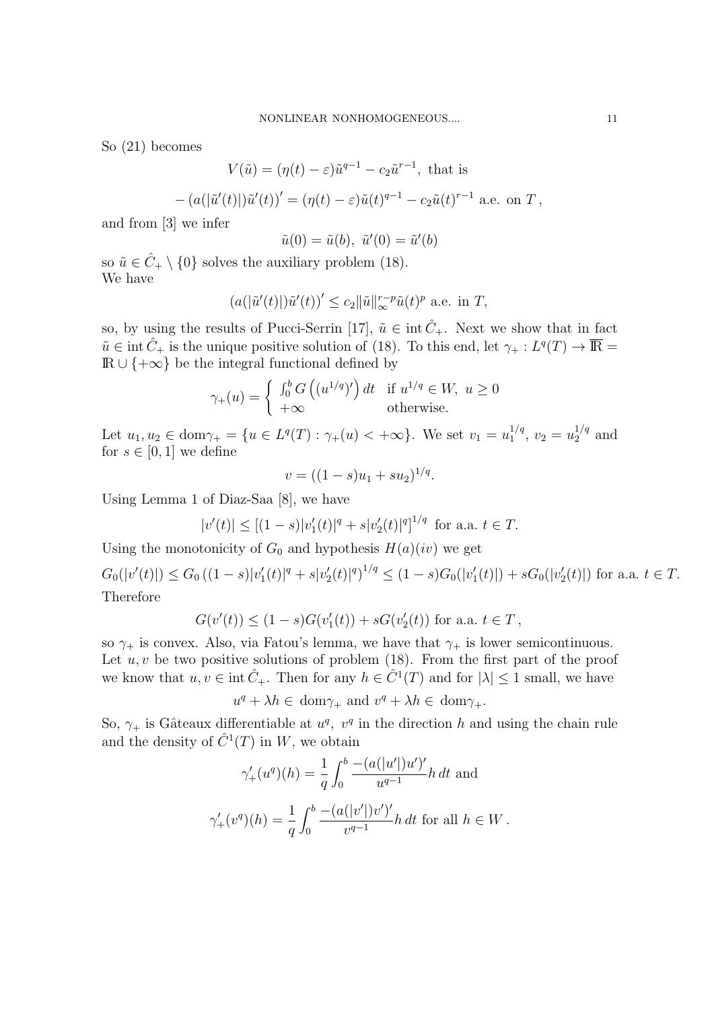So (21) becomes

$$
V(\tilde{u}) = (\eta(t) - \varepsilon)\tilde{u}^{q-1} - c_2\tilde{u}^{r-1},
$$
 that is

$$
- (a(|\tilde{u}'(t)|)\tilde{u}'(t))' = (\eta(t) - \varepsilon)\tilde{u}(t)^{q-1} - c_2\tilde{u}(t)^{r-1} \text{ a.e. on } T,
$$

and from [3] we infer

$$
\tilde{u}(0) = \tilde{u}(b), \ \tilde{u}'(0) = \tilde{u}'(b)
$$

so  $\tilde{u} \in \hat{C}_+ \setminus \{0\}$  solves the auxiliary problem (18). We have

$$
(a(|\tilde{u}'(t)|)\tilde{u}'(t))' \le c_2 \|\tilde{u}\|_{\infty}^{r-p} \tilde{u}(t)^p
$$
 a.e. in T,

so, by using the results of Pucci-Serrin [17],  $\tilde{u} \in \text{int} \hat{C}_{+}$ . Next we show that in fact  $\tilde{u} \in \text{int } \hat{C}_+$  is the unique positive solution of (18). To this end, let  $\gamma_+ : L^q(T) \to \overline{\mathbb{R}} =$  $\mathbb{R} \cup \{+\infty\}$  be the integral functional defined by

$$
\gamma_{+}(u) = \begin{cases} \int_{0}^{b} G\left((u^{1/q})'\right) dt & \text{if } u^{1/q} \in W, \ u \ge 0\\ +\infty & \text{otherwise.} \end{cases}
$$

Let  $u_1, u_2 \in \text{dom}\gamma_+ = \{u \in L^q(T) : \gamma_+(u) < +\infty\}$ . We set  $v_1 = u_1^{1/q}$  $v_1^{1/q}$ ,  $v_2 = u_2^{1/q}$  and for  $s \in [0,1]$  we define

$$
v = ((1 - s)u_1 + su_2)^{1/q}.
$$

Using Lemma 1 of Diaz-Saa [8], we have

$$
|v'(t)| \le [(1-s)|v'_1(t)|^q + s|v'_2(t)|^q]^{1/q} \text{ for a.a. } t \in T.
$$

Using the monotonicity of  $G_0$  and hypothesis  $H(a)(iv)$  we get

 $G_0(|v'(t)|) \leq G_0 ((1-s)|v'_1(t)|^q + s|v'_2(t)|^q)^{1/q} \leq (1-s)G_0(|v'_1(t)|) + sG_0(|v'_2(t)|)$  for a.a.  $t \in T$ . Therefore

$$
G(v'(t)) \le (1 - s)G(v'_1(t)) + sG(v'_2(t))
$$
 for a.a.  $t \in T$ ,

so  $\gamma_+$  is convex. Also, via Fatou's lemma, we have that  $\gamma_+$  is lower semicontinuous. Let  $u, v$  be two positive solutions of problem (18). From the first part of the proof we know that  $u, v \in \text{int } \hat{C}_+$ . Then for any  $h \in \hat{C}^1(T)$  and for  $|\lambda| \leq 1$  small, we have

 $u^q + \lambda h \in \text{dom}\gamma_+ \text{ and } v^q + \lambda h \in \text{dom}\gamma_+.$ 

So,  $\gamma_+$  is Gâteaux differentiable at  $u^q$ ,  $v^q$  in the direction h and using the chain rule and the density of  $\hat{C}^1(T)$  in W, we obtain

$$
\gamma'_+(u^q)(h) = \frac{1}{q} \int_0^b \frac{-(a(|u'|)u')'}{u^{q-1}} h dt \text{ and}
$$
  

$$
\gamma'_+(v^q)(h) = \frac{1}{q} \int_0^b \frac{-(a(|v'|)v')'}{v^{q-1}} h dt \text{ for all } h \in W.
$$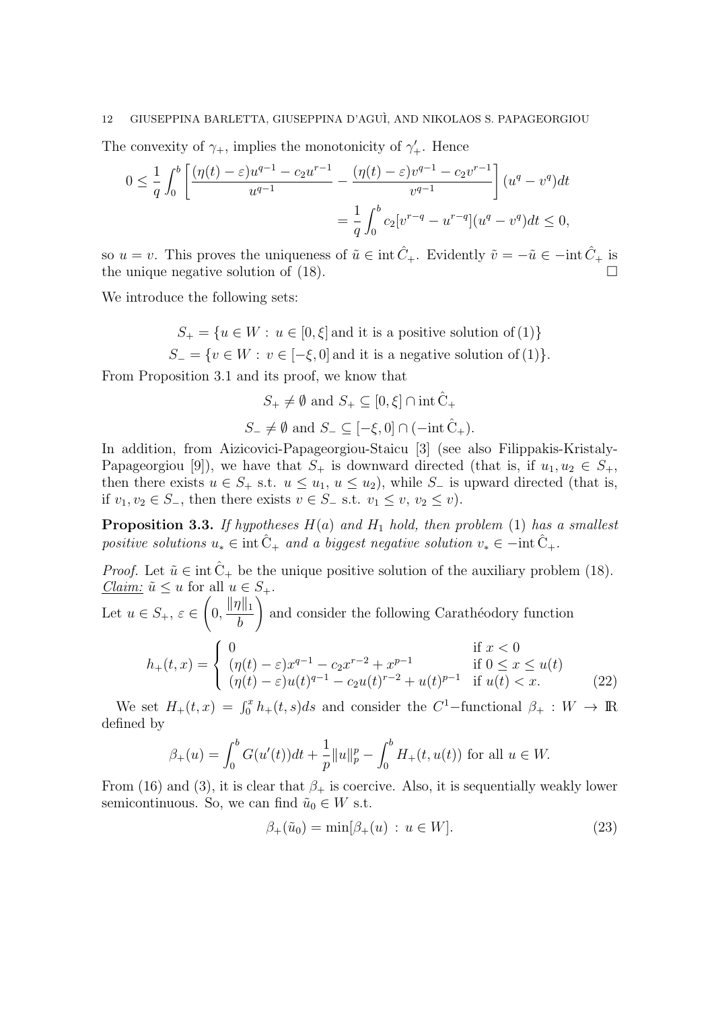The convexity of  $\gamma_+$ , implies the monotonicity of  $\gamma'_+$ . Hence

$$
0 \le \frac{1}{q} \int_0^b \left[ \frac{(\eta(t) - \varepsilon)u^{q-1} - c_2 u^{r-1}}{u^{q-1}} - \frac{(\eta(t) - \varepsilon)v^{q-1} - c_2 v^{r-1}}{v^{q-1}} \right] (u^q - v^q) dt
$$
  
= 
$$
\frac{1}{q} \int_0^b c_2 [v^{r-q} - u^{r-q}] (u^q - v^q) dt \le 0,
$$

so  $u = v$ . This proves the uniqueness of  $\tilde{u} \in \text{int} \hat{C}_+$ . Evidently  $\tilde{v} = -\tilde{u} \in -\text{int} \hat{C}_+$  is the unique negative solution of (18).

We introduce the following sets:

$$
S_+ = \{ u \in W : u \in [0, \xi] \text{ and it is a positive solution of (1)} \}
$$

 $S_ = \{v \in W : v \in [-\xi, 0] \text{ and it is a negative solution of (1)}\}.$ 

From Proposition 3.1 and its proof, we know that

$$
S_+\neq\emptyset\text{ and }S_+\subseteq[0,\xi]\cap\mathrm{int}\,\hat{\mathcal{C}}_+
$$

$$
S_{-} \neq \emptyset \text{ and } S_{-} \subseteq [-\xi, 0] \cap (-\text{int}\,\hat{C}_{+}).
$$

In addition, from Aizicovici-Papageorgiou-Staicu [3] (see also Filippakis-Kristaly-Papageorgiou [9]), we have that  $S_+$  is downward directed (that is, if  $u_1, u_2 \in S_+$ , then there exists  $u \in S_+$  s.t.  $u \leq u_1, u \leq u_2$ ), while  $S_-$  is upward directed (that is, if  $v_1, v_2 \in S_-,$  then there exists  $v \in S_-$  s.t.  $v_1 \leq v, v_2 \leq v$ .

**Proposition 3.3.** If hypotheses  $H(a)$  and  $H_1$  hold, then problem (1) has a smallest positive solutions  $u_* \in \text{int} \hat{C}_{+}$  and a biggest negative solution  $v_* \in -\text{int} \hat{C}_{+}$ .

*Proof.* Let  $\tilde{u} \in \text{int } \tilde{C}_+$  be the unique positive solution of the auxiliary problem (18). *Claim:*  $\tilde{u} \leq u$  for all  $u \in S_+$ .

Let  $u \in S_+$ ,  $\varepsilon \in$  $\sqrt{ }$  $0, \frac{\|\eta\|_1}{l}$ b  $\setminus$ and consider the following Carathéodory function

$$
h_{+}(t,x) = \begin{cases} 0 & \text{if } x < 0\\ (\eta(t) - \varepsilon)x^{q-1} - c_{2}x^{r-2} + x^{p-1} & \text{if } 0 \le x \le u(t) \\ (\eta(t) - \varepsilon)u(t)^{q-1} - c_{2}u(t)^{r-2} + u(t)^{p-1} & \text{if } u(t) < x. \end{cases}
$$
(22)

We set  $H_+(t,x) = \int_0^x h_+(t,s)ds$  and consider the C<sup>1</sup>-functional  $\beta_+ : W \to \mathbb{R}$ defined by

$$
\beta_{+}(u) = \int_{0}^{b} G(u'(t))dt + \frac{1}{p}||u||_{p}^{p} - \int_{0}^{b} H_{+}(t, u(t)) \text{ for all } u \in W.
$$

From (16) and (3), it is clear that  $\beta_+$  is coercive. Also, it is sequentially weakly lower semicontinuous. So, we can find  $\tilde{u}_0 \in W$  s.t.

$$
\beta_+(\tilde{u}_0) = \min[\beta_+(u) : u \in W]. \tag{23}
$$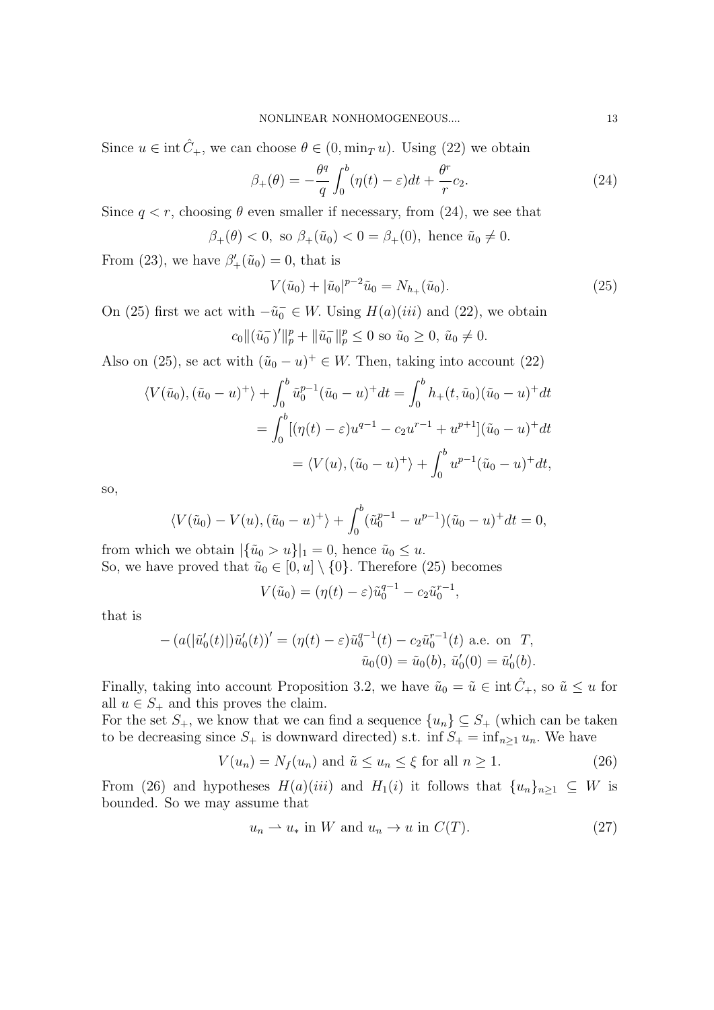Since  $u \in \text{int } \hat{C}_+$ , we can choose  $\theta \in (0, \min_T u)$ . Using (22) we obtain

$$
\beta_+(\theta) = -\frac{\theta^q}{q} \int_0^b (\eta(t) - \varepsilon) dt + \frac{\theta^r}{r} c_2.
$$
\n(24)

Since  $q < r$ , choosing  $\theta$  even smaller if necessary, from (24), we see that

$$
\beta_+(\theta) < 0, \text{ so } \beta_+(\tilde{u}_0) < 0 = \beta_+(0), \text{ hence } \tilde{u}_0 \neq 0.
$$

From (23), we have  $\beta'_{+}(\tilde{u}_0) = 0$ , that is

$$
V(\tilde{u}_0) + |\tilde{u}_0|^{p-2}\tilde{u}_0 = N_{h_+}(\tilde{u}_0).
$$
\n(25)

On (25) first we act with  $-\tilde{u}_0^- \in W$ . Using  $H(a)(iii)$  and (22), we obtain  $c_0 \|(\tilde{u}_0^-)'\|_p^p + \|\tilde{u}_0^-\|_p^p \leq 0$  so  $\tilde{u}_0 \geq 0$ ,  $\tilde{u}_0 \neq 0$ .

Also on (25), se act with  $(\tilde{u}_0 - u)^+ \in W$ . Then, taking into account (22)

$$
\langle V(\tilde{u}_0), (\tilde{u}_0 - u)^+ \rangle + \int_0^b \tilde{u}_0^{p-1} (\tilde{u}_0 - u)^+ dt = \int_0^b h_+(t, \tilde{u}_0) (\tilde{u}_0 - u)^+ dt
$$
  
= 
$$
\int_0^b [(\eta(t) - \varepsilon)u^{q-1} - c_2 u^{r-1} + u^{p+1}] (\tilde{u}_0 - u)^+ dt
$$
  
= 
$$
\langle V(u), (\tilde{u}_0 - u)^+ \rangle + \int_0^b u^{p-1} (\tilde{u}_0 - u)^+ dt,
$$

so,

$$
\langle V(\tilde{u}_0) - V(u), (\tilde{u}_0 - u)^+ \rangle + \int_0^b (\tilde{u}_0^{p-1} - u^{p-1})(\tilde{u}_0 - u)^+ dt = 0,
$$

from which we obtain  $|\{\tilde{u}_0 > u\}|_1 = 0$ , hence  $\tilde{u}_0 \leq u$ . So, we have proved that  $\tilde{u}_0 \in [0, u] \setminus \{0\}$ . Therefore (25) becomes

$$
V(\tilde{u}_0) = (\eta(t) - \varepsilon)\tilde{u}_0^{q-1} - c_2\tilde{u}_0^{r-1},
$$

that is

$$
- (a(|\tilde{u}'_0(t)|)\tilde{u}'_0(t))' = (\eta(t) - \varepsilon)\tilde{u}_0^{q-1}(t) - c_2\tilde{u}_0^{r-1}(t) \text{ a.e. on } T,
$$
  

$$
\tilde{u}_0(0) = \tilde{u}_0(b), \tilde{u}'_0(0) = \tilde{u}'_0(b).
$$

Finally, taking into account Proposition 3.2, we have  $\tilde{u}_0 = \tilde{u} \in \text{int} \hat{C}_+$ , so  $\tilde{u} \leq u$  for all  $u \in S_+$  and this proves the claim.

For the set  $S_+$ , we know that we can find a sequence  $\{u_n\} \subseteq S_+$  (which can be taken to be decreasing since  $S_+$  is downward directed) s.t. inf  $S_+ = \inf_{n \geq 1} u_n$ . We have

$$
V(u_n) = N_f(u_n) \text{ and } \tilde{u} \le u_n \le \xi \text{ for all } n \ge 1.
$$
 (26)

From (26) and hypotheses  $H(a)(iii)$  and  $H_1(i)$  it follows that  $\{u_n\}_{n\geq 1} \subseteq W$  is bounded. So we may assume that

$$
u_n \rightharpoonup u_* \text{ in } W \text{ and } u_n \rightharpoonup u \text{ in } C(T). \tag{27}
$$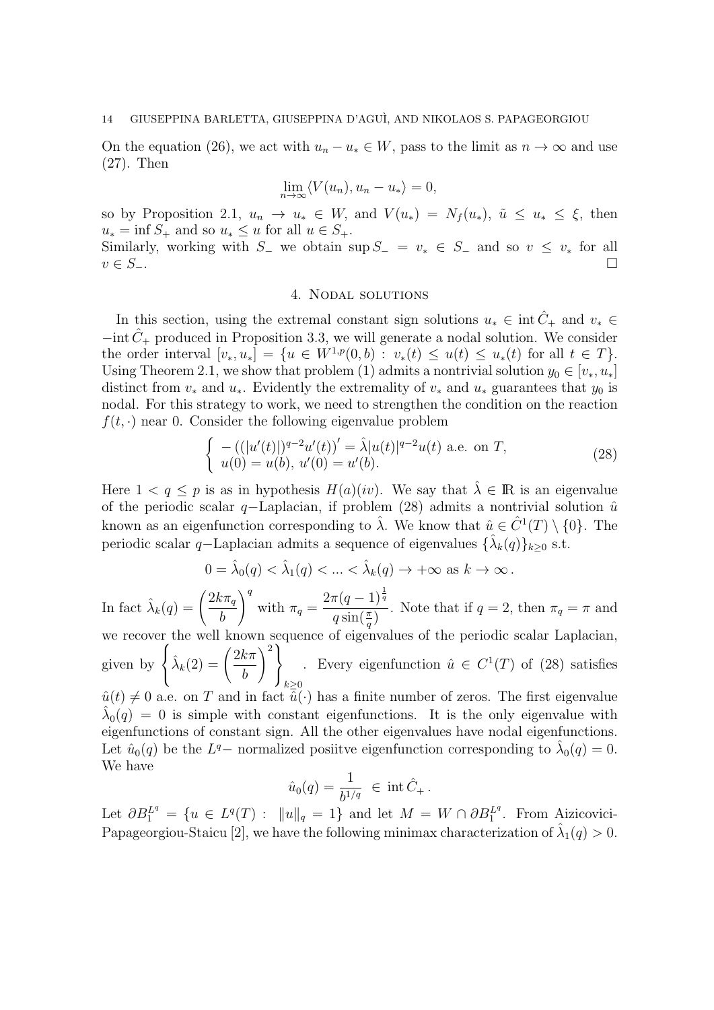On the equation (26), we act with  $u_n - u_* \in W$ , pass to the limit as  $n \to \infty$  and use (27). Then

$$
\lim_{n \to \infty} \langle V(u_n), u_n - u_* \rangle = 0,
$$

so by Proposition 2.1,  $u_n \to u_* \in W$ , and  $V(u_*) = N_f(u_*)$ ,  $\tilde{u} \leq u_* \leq \xi$ , then  $u_* = \inf S_+$  and so  $u_* \leq u$  for all  $u \in S_+$ .

Similarly, working with S<sub>−</sub> we obtain sup  $S_-\equiv v_* \in S_-\,$  and so  $v \leq v_*$  for all  $v \in S_-\$ .

# 4. Nodal solutions

In this section, using the extremal constant sign solutions  $u_* \in \text{int } \hat{C}_+$  and  $v_* \in$  $-\text{int }\hat{C}_{+}$  produced in Proposition 3.3, we will generate a nodal solution. We consider the order interval  $[v_*, u_*] = \{u \in W^{1,p}(0,b) : v_*(t) \le u(t) \le u_*(t) \text{ for all } t \in T\}.$ Using Theorem 2.1, we show that problem (1) admits a nontrivial solution  $y_0 \in [v_*, u_*]$ distinct from  $v_*$  and  $u_*$ . Evidently the extremality of  $v_*$  and  $u_*$  guarantees that  $y_0$  is nodal. For this strategy to work, we need to strengthen the condition on the reaction  $f(t, \cdot)$  near 0. Consider the following eigenvalue problem

$$
\begin{cases}\n-((|u'(t)|)^{q-2}u'(t))' = \hat{\lambda}|u(t)|^{q-2}u(t) \text{ a.e. on } T, \\
u(0) = u(b), u'(0) = u'(b).\n\end{cases}
$$
\n(28)

Here  $1 < q \leq p$  is as in hypothesis  $H(a)(iv)$ . We say that  $\hat{\lambda} \in \mathbb{R}$  is an eigenvalue of the periodic scalar q–Laplacian, if problem (28) admits a nontrivial solution  $\hat{u}$ known as an eigenfunction corresponding to  $\hat{\lambda}$ . We know that  $\hat{u} \in \hat{C}^1(T) \setminus \{0\}$ . The periodic scalar q–Laplacian admits a sequence of eigenvalues  $\{\hat{\lambda}_k(q)\}_{k\geq 0}$  s.t.

$$
0 = \hat{\lambda}_0(q) < \hat{\lambda}_1(q) < \ldots < \hat{\lambda}_k(q) \to +\infty \text{ as } k \to \infty \, .
$$

In fact  $\hat{\lambda}_k(q) = \left(\frac{2k\pi_q}{k}\right)$ b  $\setminus$ <sup>q</sup> with  $\pi_q =$  $2\pi(q-1)^{\frac{1}{q}}$  $\frac{\pi(q-1)}{q \sin(\frac{\pi}{q})}$ . Note that if  $q=2$ , then  $\pi_q = \pi$  and we recover the well known sequence of eigenvalues of the periodic scalar Laplacian, given by  $\sqrt{ }$ J  $\mathcal{L}$  $\hat{\lambda}_k(2) = \left(\frac{2k\pi}{k}\right)$ b  $\langle$ <sup>2</sup>  $\mathcal{L}$  $\int k \geq 0$ Every eigenfunction  $\hat{u} \in C^1(T)$  of (28) satisfies  $\hat{u}(t) \neq 0$  a.e. on T and in fact  $\hat{u}(\cdot)$  has a finite number of zeros. The first eigenvalue  $\hat{\lambda}_0(q) = 0$  is simple with constant eigenfunctions. It is the only eigenvalue with eigenfunctions of constant sign. All the other eigenvalues have nodal eigenfunctions. Let  $\hat{u}_0(q)$  be the  $L^q$ - normalized positive eigenfunction corresponding to  $\hat{\lambda}_0(q) = 0$ . We have

$$
\hat{u}_0(q) = \frac{1}{b^{1/q}} \in \text{int}\,\hat{C}_+.
$$

Let  $\partial B_1^{Lq} = \{ u \in L^q(T) : ||u||_q = 1 \}$  and let  $M = W \cap \partial B_1^{Lq}$ . From Aizicovici-Papageorgiou-Staicu [2], we have the following minimax characterization of  $\hat{\lambda}_1(q) > 0$ .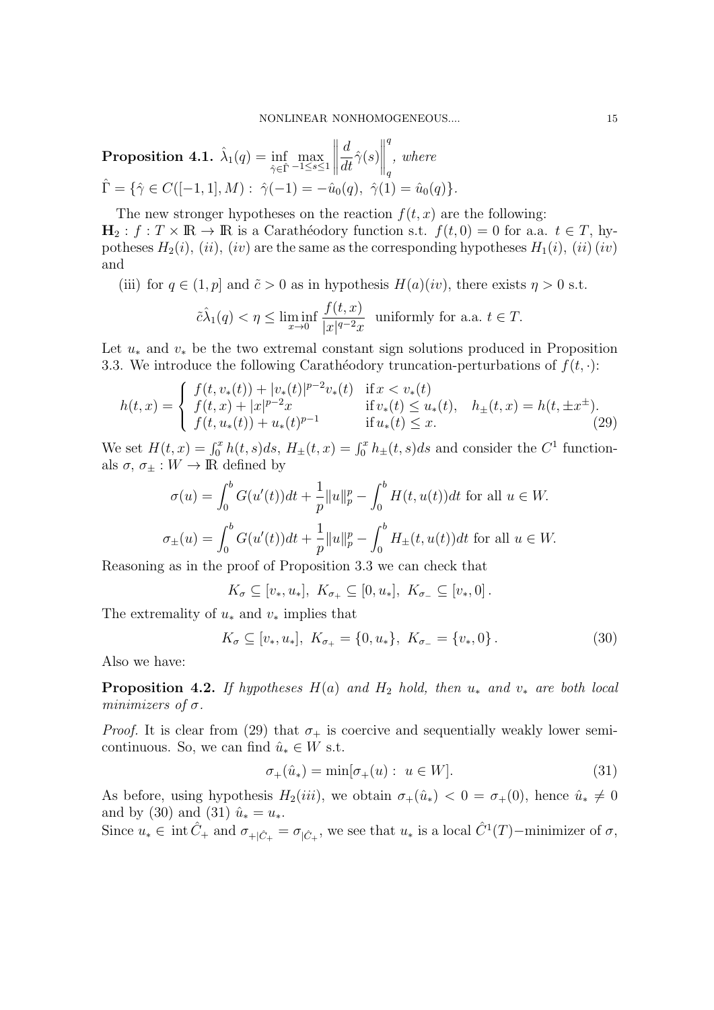$\textbf{Proposition 4.1.} \,\, \hat{\lambda}_{1}(q) = \inf_{\hat{\gamma} \in \hat{\Gamma}}% \bigl\{ \sum_{i=1}^{p} \left\vert \gamma_{i} \right\vert \leq \hat{p}^{1/2} \delta_{1}(q). \label{eq:prob1}$  $\max_{-1 \leq s \leq 1}$  d  $\frac{d}{dt}\hat{\gamma}(s)$  q q , where  $\hat{\Gamma} = \{ \hat{\gamma} \in C([-1, 1], M) : \hat{\gamma}(-1) = -\hat{u}_0(q), \hat{\gamma}(1) = \hat{u}_0(q) \}.$ 

The new stronger hypotheses on the reaction  $f(t, x)$  are the following:  $H_2 : f : T \times \mathbb{R} \to \mathbb{R}$  is a Caratheodory function s.t.  $f(t, 0) = 0$  for a.a.  $t \in T$ , hypotheses  $H_2(i)$ ,  $(ii)$ ,  $(iv)$  are the same as the corresponding hypotheses  $H_1(i)$ ,  $(ii)$   $(iv)$ and

(iii) for  $q \in (1, p]$  and  $\tilde{c} > 0$  as in hypothesis  $H(a)(iv)$ , there exists  $\eta > 0$  s.t.

$$
\tilde{c}\hat{\lambda}_1(q) < \eta \le \liminf_{x \to 0} \frac{f(t,x)}{|x|^{q-2}x} \text{ uniformly for a.a. } t \in T.
$$

Let  $u_*$  and  $v_*$  be the two extremal constant sign solutions produced in Proposition 3.3. We introduce the following Carathéodory truncation-perturbations of  $f(t, \cdot)$ :

$$
h(t,x) = \begin{cases} f(t,v_*(t)) + |v_*(t)|^{p-2}v_*(t) & \text{if } x < v_*(t) \\ f(t,x) + |x|^{p-2}x & \text{if } v_*(t) \le u_*(t), \quad h_\pm(t,x) = h(t,\pm x^\pm). \\ f(t,u_*(t)) + u_*(t)^{p-1} & \text{if } u_*(t) \le x. \end{cases} \tag{29}
$$

We set  $H(t, x) = \int_0^x h(t, s)ds$ ,  $H_{\pm}(t, x) = \int_0^x h_{\pm}(t, s)ds$  and consider the  $C^1$  functionals  $\sigma$ ,  $\sigma_{\pm}: W \to \mathbb{R}$  defined by

$$
\sigma(u) = \int_0^b G(u'(t))dt + \frac{1}{p}||u||_p^p - \int_0^b H(t, u(t))dt \text{ for all } u \in W.
$$
  

$$
\sigma_{\pm}(u) = \int_0^b G(u'(t))dt + \frac{1}{p}||u||_p^p - \int_0^b H_{\pm}(t, u(t))dt \text{ for all } u \in W.
$$

Reasoning as in the proof of Proposition 3.3 we can check that

 $K_{\sigma} \subseteq [v_*, u_*], K_{\sigma_+} \subseteq [0, u_*], K_{\sigma_-} \subseteq [v_*, 0].$ 

The extremality of  $u_*$  and  $v_*$  implies that

$$
K_{\sigma} \subseteq [v_*, u_*], \ K_{\sigma_+} = \{0, u_*\}, \ K_{\sigma_-} = \{v_*, 0\}.
$$
 (30)

Also we have:

**Proposition 4.2.** If hypotheses  $H(a)$  and  $H_2$  hold, then  $u_*$  and  $v_*$  are both local minimizers of  $\sigma$ .

*Proof.* It is clear from (29) that  $\sigma_{+}$  is coercive and sequentially weakly lower semicontinuous. So, we can find  $\hat{u}_* \in W$  s.t.

$$
\sigma_+(\hat{u}_*) = \min[\sigma_+(u) : u \in W].\tag{31}
$$

As before, using hypothesis  $H_2(iii)$ , we obtain  $\sigma_+(\hat{u}_*) < 0 = \sigma_+(0)$ , hence  $\hat{u}_* \neq 0$ and by (30) and (31)  $\hat{u}_* = u_*$ .

Since  $u_* \in \text{ int } \hat{C}_+$  and  $\sigma_{+|\hat{C}_+} = \sigma_{|\hat{C}_+}$ , we see that  $u_*$  is a local  $\hat{C}^1(T)$ -minimizer of  $\sigma$ ,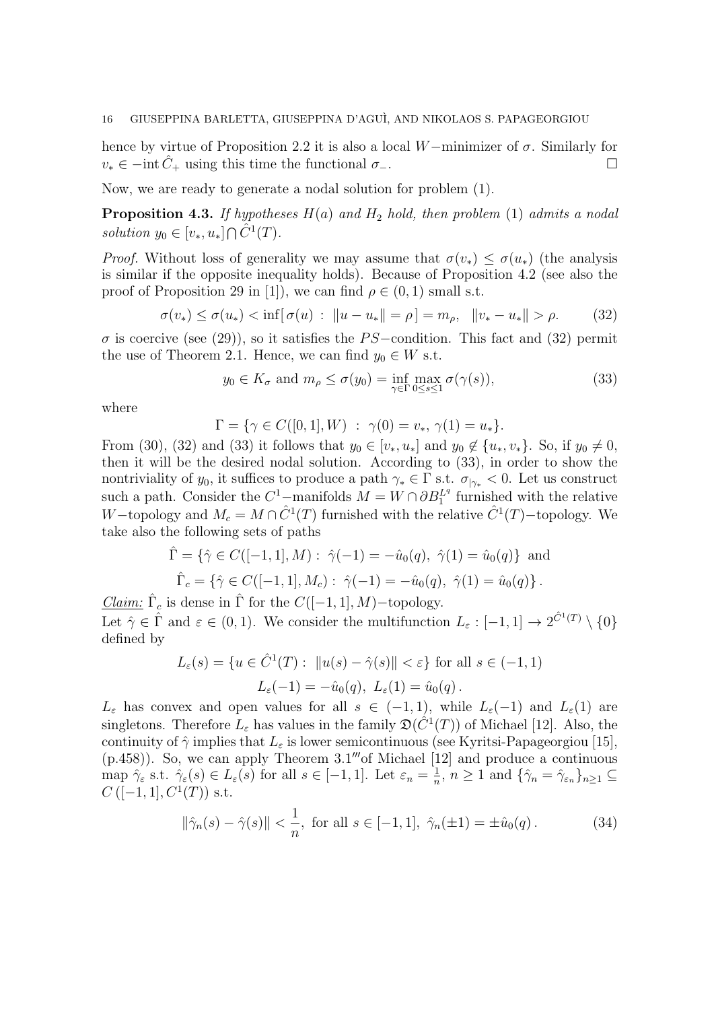hence by virtue of Proposition 2.2 it is also a local W−minimizer of  $\sigma$ . Similarly for  $v_* \in -\text{int } C_+$  using this time the functional  $\sigma_-$ .

Now, we are ready to generate a nodal solution for problem (1).

**Proposition 4.3.** If hypotheses  $H(a)$  and  $H_2$  hold, then problem (1) admits a nodal solution  $y_0 \in [v_*, u_*] \cap \hat{C}^1(T)$ .

*Proof.* Without loss of generality we may assume that  $\sigma(v_*) \leq \sigma(u_*)$  (the analysis is similar if the opposite inequality holds). Because of Proposition 4.2 (see also the proof of Proposition 29 in [1]), we can find  $\rho \in (0,1)$  small s.t.

$$
\sigma(v_*) \le \sigma(u_*) < \inf[\sigma(u) : \|u - u_*\| = \rho] = m_\rho, \|v_* - u_*\| > \rho. \tag{32}
$$

 $\sigma$  is coercive (see (29)), so it satisfies the PS-condition. This fact and (32) permit the use of Theorem 2.1. Hence, we can find  $y_0 \in W$  s.t.

$$
y_0 \in K_{\sigma}
$$
 and  $m_{\rho} \le \sigma(y_0) = \inf_{\gamma \in \Gamma} \max_{0 \le s \le 1} \sigma(\gamma(s)),$  (33)

where

$$
\Gamma = \{ \gamma \in C([0, 1], W) : \gamma(0) = v_*, \gamma(1) = u_* \}.
$$

From (30), (32) and (33) it follows that  $y_0 \in [v_*, u_*]$  and  $y_0 \notin \{u_*, v_*\}$ . So, if  $y_0 \neq 0$ , then it will be the desired nodal solution. According to (33), in order to show the nontriviality of  $y_0$ , it suffices to produce a path  $\gamma_* \in \Gamma$  s.t.  $\sigma_{\gamma_*} < 0$ . Let us construct such a path. Consider the  $C^1$ -manifolds  $M = W \cap \partial B_1^{Lq}$  furnished with the relative W-topology and  $M_c = M \cap \hat{C}^1(T)$  furnished with the relative  $\hat{C}^1(T)$ -topology. We take also the following sets of paths

$$
\hat{\Gamma} = \{ \hat{\gamma} \in C([-1, 1], M) : \hat{\gamma}(-1) = -\hat{u}_0(q), \hat{\gamma}(1) = \hat{u}_0(q) \} \text{ and}
$$

$$
\hat{\Gamma}_c = \{ \hat{\gamma} \in C([-1, 1], M_c) : \hat{\gamma}(-1) = -\hat{u}_0(q), \hat{\gamma}(1) = \hat{u}_0(q) \}.
$$

*Claim:*  $\hat{\Gamma}_c$  is dense in  $\hat{\Gamma}$  for the  $C([-1, 1], M)$ -topology. Let  $\hat{\gamma} \in \hat{\Gamma}$  and  $\varepsilon \in (0,1)$ . We consider the multifunction  $L_{\varepsilon} : [-1,1] \to 2^{\hat{C}^1(T)} \setminus \{0\}$ defined by

$$
L_{\varepsilon}(s) = \{ u \in \hat{C}^{1}(T) : ||u(s) - \hat{\gamma}(s)|| < \varepsilon \} \text{ for all } s \in (-1, 1)
$$
  

$$
L_{\varepsilon}(-1) = -\hat{u}_{0}(q), \ L_{\varepsilon}(1) = \hat{u}_{0}(q).
$$

 $L_{\varepsilon}$  has convex and open values for all  $s \in (-1,1)$ , while  $L_{\varepsilon}(-1)$  and  $L_{\varepsilon}(1)$  are singletons. Therefore  $L_{\varepsilon}$  has values in the family  $\mathfrak{D}(\hat{C}^1(T))$  of Michael [12]. Also, the continuity of  $\hat{\gamma}$  implies that  $L_{\varepsilon}$  is lower semicontinuous (see Kyritsi-Papageorgiou [15],  $(p.458)$ ). So, we can apply Theorem 3.1''' of Michael [12] and produce a continuous map  $\hat{\gamma}_{\varepsilon}$  s.t.  $\hat{\gamma}_{\varepsilon}(s) \in L_{\varepsilon}(s)$  for all  $s \in [-1,1]$ . Let  $\varepsilon_n = \frac{1}{n}$  $\frac{1}{n}$ ,  $n \geq 1$  and  $\{\hat{\gamma}_n = \hat{\gamma}_{\varepsilon_n}\}_{n \geq 1} \subseteq$  $C([-1, 1], C^1(T))$  s.t.

$$
\|\hat{\gamma}_n(s) - \hat{\gamma}(s)\| < \frac{1}{n}
$$
, for all  $s \in [-1, 1]$ ,  $\hat{\gamma}_n(\pm 1) = \pm \hat{u}_0(q)$ . (34)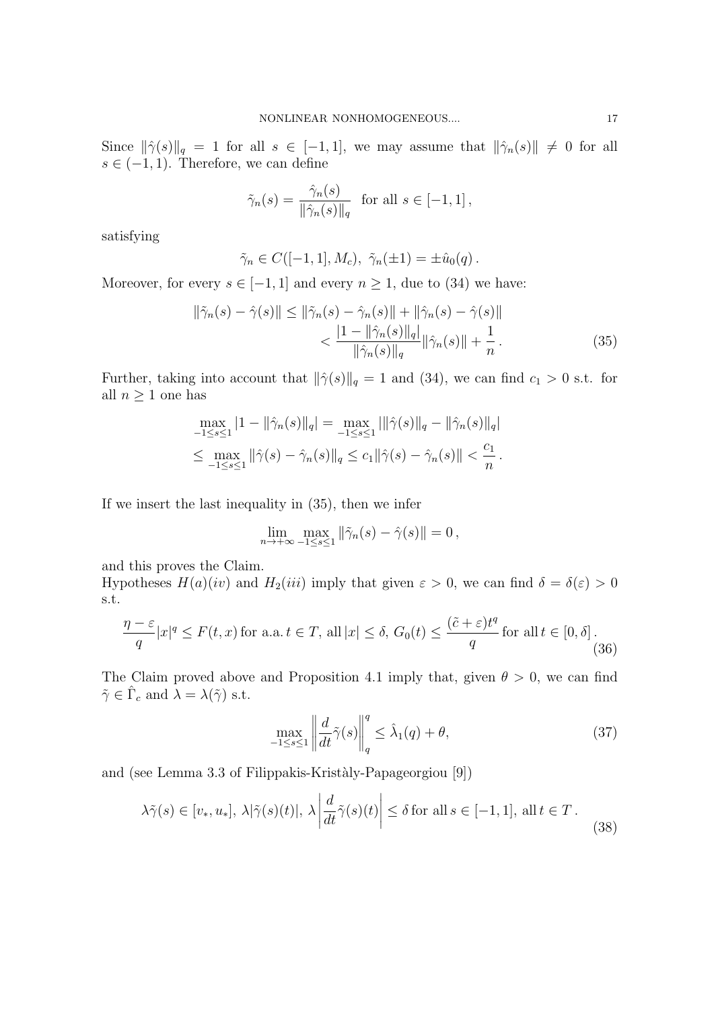Since  $\|\hat{\gamma}(s)\|_q = 1$  for all  $s \in [-1, 1]$ , we may assume that  $\|\hat{\gamma}_n(s)\| \neq 0$  for all  $s \in (-1, 1)$ . Therefore, we can define

$$
\tilde{\gamma}_n(s) = \frac{\hat{\gamma}_n(s)}{\|\hat{\gamma}_n(s)\|_q} \text{ for all } s \in [-1, 1],
$$

satisfying

$$
\tilde{\gamma}_n \in C([-1, 1], M_c), \ \tilde{\gamma}_n(\pm 1) = \pm \hat{u}_0(q).
$$

Moreover, for every  $s \in [-1, 1]$  and every  $n \geq 1$ , due to (34) we have:

$$
\|\tilde{\gamma}_n(s) - \hat{\gamma}(s)\| \le \|\tilde{\gamma}_n(s) - \hat{\gamma}_n(s)\| + \|\hat{\gamma}_n(s) - \hat{\gamma}(s)\| \n< \frac{|1 - \|\hat{\gamma}_n(s)\|_q}{\|\hat{\gamma}_n(s)\|_q} \|\hat{\gamma}_n(s)\| + \frac{1}{n}.
$$
\n(35)

Further, taking into account that  $\|\hat{\gamma}(s)\|_q = 1$  and (34), we can find  $c_1 > 0$  s.t. for all  $n \geq 1$  one has

$$
\max_{-1 \le s \le 1} |1 - ||\hat{\gamma}_n(s)||_q| = \max_{-1 \le s \le 1} |||\hat{\gamma}(s)||_q - ||\hat{\gamma}_n(s)||_q|
$$
  

$$
\le \max_{-1 \le s \le 1} ||\hat{\gamma}(s) - \hat{\gamma}_n(s)||_q \le c_1 ||\hat{\gamma}(s) - \hat{\gamma}_n(s)|| < \frac{c_1}{n}.
$$

If we insert the last inequality in (35), then we infer

$$
\lim_{n \to +\infty} \max_{-1 \le s \le 1} \|\tilde{\gamma}_n(s) - \hat{\gamma}(s)\| = 0,
$$

and this proves the Claim.

Hypotheses  $H(a)(iv)$  and  $H_2(iii)$  imply that given  $\varepsilon > 0$ , we can find  $\delta = \delta(\varepsilon) > 0$ s.t.

$$
\frac{\eta - \varepsilon}{q} |x|^q \le F(t, x) \text{ for a.a. } t \in T, \text{ all } |x| \le \delta, G_0(t) \le \frac{(\tilde{c} + \varepsilon)t^q}{q} \text{ for all } t \in [0, \delta].
$$
\n(36)

The Claim proved above and Proposition 4.1 imply that, given  $\theta > 0$ , we can find  $\tilde{\gamma} \in \hat{\Gamma}_c$  and  $\lambda = \lambda(\tilde{\gamma})$  s.t.

$$
\max_{-1 \le s \le 1} \left\| \frac{d}{dt} \tilde{\gamma}(s) \right\|_{q}^{q} \le \hat{\lambda}_{1}(q) + \theta,
$$
\n(37)

and (see Lemma 3.3 of Filippakis-Krist`aly-Papageorgiou [9])

$$
\lambda \tilde{\gamma}(s) \in [v_*, u_*], \ \lambda |\tilde{\gamma}(s)(t)|, \ \lambda \left| \frac{d}{dt} \tilde{\gamma}(s)(t) \right| \le \delta \text{ for all } s \in [-1, 1], \ \text{all } t \in T. \tag{38}
$$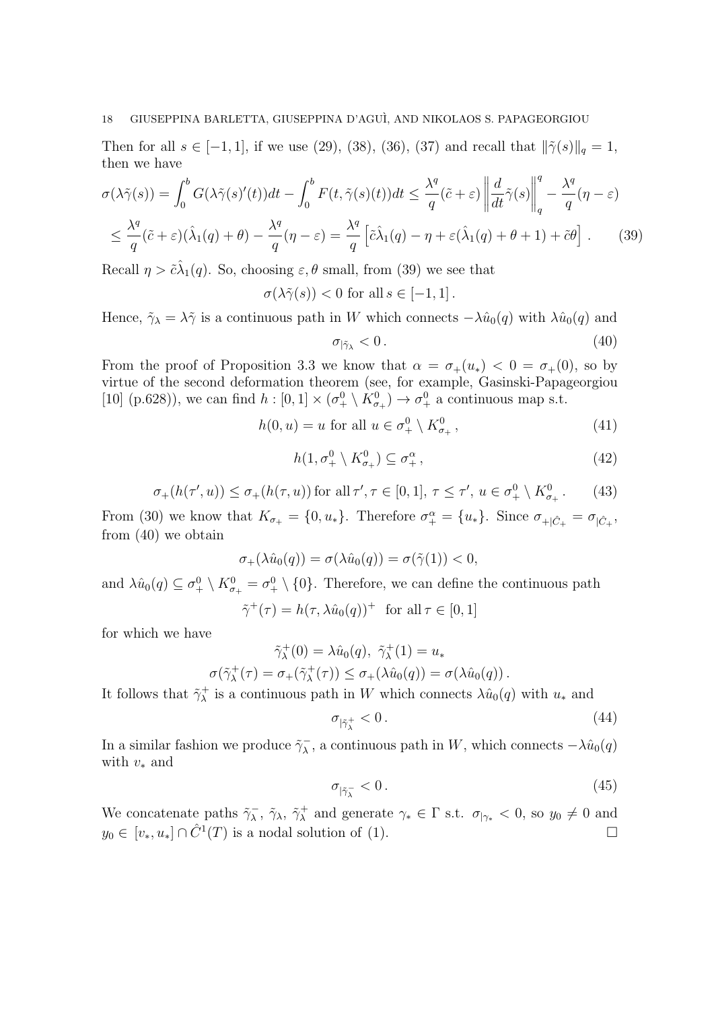Then for all  $s \in [-1, 1]$ , if we use (29), (38), (36), (37) and recall that  $\|\tilde{\gamma}(s)\|_{q} = 1$ , then we have

$$
\sigma(\lambda \tilde{\gamma}(s)) = \int_0^b G(\lambda \tilde{\gamma}(s)'(t))dt - \int_0^b F(t, \tilde{\gamma}(s)(t))dt \le \frac{\lambda^q}{q}(\tilde{c} + \varepsilon) \left\| \frac{d}{dt}\tilde{\gamma}(s) \right\|_q^q - \frac{\lambda^q}{q}(\eta - \varepsilon)
$$
  

$$
\le \frac{\lambda^q}{q}(\tilde{c} + \varepsilon)(\lambda_1(q) + \theta) - \frac{\lambda^q}{q}(\eta - \varepsilon) = \frac{\lambda^q}{q} \left[ \tilde{c}\lambda_1(q) - \eta + \varepsilon(\lambda_1(q) + \theta + 1) + \tilde{c}\theta \right].
$$
 (39)

Recall  $\eta > \tilde{c}\lambda_1(q)$ . So, choosing  $\varepsilon, \theta$  small, from (39) we see that

 $\sigma(\lambda \tilde{\gamma}(s)) < 0$  for all  $s \in [-1, 1]$ .

Hence,  $\tilde{\gamma}_{\lambda} = \lambda \tilde{\gamma}$  is a continuous path in W which connects  $-\lambda \hat{u}_0(q)$  with  $\lambda \hat{u}_0(q)$  and

$$
\sigma_{|\tilde{\gamma}_\lambda} < 0. \tag{40}
$$

From the proof of Proposition 3.3 we know that  $\alpha = \sigma_+(u_*) < 0 = \sigma_+(0)$ , so by virtue of the second deformation theorem (see, for example, Gasinski-Papageorgiou [10] (p.628)), we can find  $h: [0,1] \times (\sigma_+^0 \setminus K_{\sigma_+}^0) \to \sigma_+^0$  a continuous map s.t.

> $h(0, u) = u$  for all  $u \in \sigma^0_+ \setminus K^0_{\sigma_+}$  $(41)$

$$
h(1, \sigma_+^0 \setminus K_{\sigma_+}^0) \subseteq \sigma_+^\alpha,\tag{42}
$$

$$
\sigma_+(h(\tau', u)) \le \sigma_+(h(\tau, u)) \text{ for all } \tau', \tau \in [0, 1], \tau \le \tau', u \in \sigma^0_+ \setminus K^0_{\sigma_+}.
$$
 (43)

From (30) we know that  $K_{\sigma_+} = \{0, u_*\}$ . Therefore  $\sigma_+^{\alpha} = \{u_*\}$ . Since  $\sigma_{+|\hat{C}_+} = \sigma_{|\hat{C}_+}$ , from (40) we obtain

$$
\sigma_+(\lambda \hat{u}_0(q)) = \sigma(\lambda \hat{u}_0(q)) = \sigma(\tilde{\gamma}(1)) < 0,
$$

and  $\lambda \hat{u}_0(q) \subseteq \sigma_+^0 \setminus K_{\sigma_+}^0 = \sigma_+^0 \setminus \{0\}$ . Therefore, we can define the continuous path  $\tilde{\gamma}^+(\tau) = h(\tau, \lambda \hat{u}_0(q))^+$  for all  $\tau \in [0, 1]$ 

for which we have

$$
\tilde{\gamma}_{\lambda}^{+}(0) = \lambda \hat{u}_0(q), \ \tilde{\gamma}_{\lambda}^{+}(1) = u_*
$$
  

$$
\sigma(\tilde{\gamma}_{\lambda}^{+}(\tau) = \sigma_{+}(\tilde{\gamma}_{\lambda}^{+}(\tau)) \leq \sigma_{+}(\lambda \hat{u}_0(q)) = \sigma(\lambda \hat{u}_0(q)).
$$

It follows that  $\tilde{\gamma}^+_{\lambda}$  is a continuous path in W which connects  $\lambda \hat{u}_0(q)$  with  $u_*$  and

$$
\sigma_{|\tilde{\gamma}^+_{\lambda}} < 0. \tag{44}
$$

In a similar fashion we produce  $\tilde{\gamma}_\lambda^ \sqrt{\lambda}$ , a continuous path in W, which connects  $-\lambda \hat{u}_0(q)$ with  $v_*$  and

$$
\sigma_{|\tilde{\gamma}^-_\lambda} < 0. \tag{45}
$$

We concatenate paths  $\tilde{\gamma}_\lambda^ \sqrt{\lambda}$ ,  $\tilde{\gamma}^+$  and generate  $\gamma_* \in \Gamma$  s.t.  $\sigma_{\vert \gamma_*} < 0$ , so  $y_0 \neq 0$  and  $y_0 \in [v_*, u_*] \cap \hat{C}^1(T)$  is a nodal solution of (1).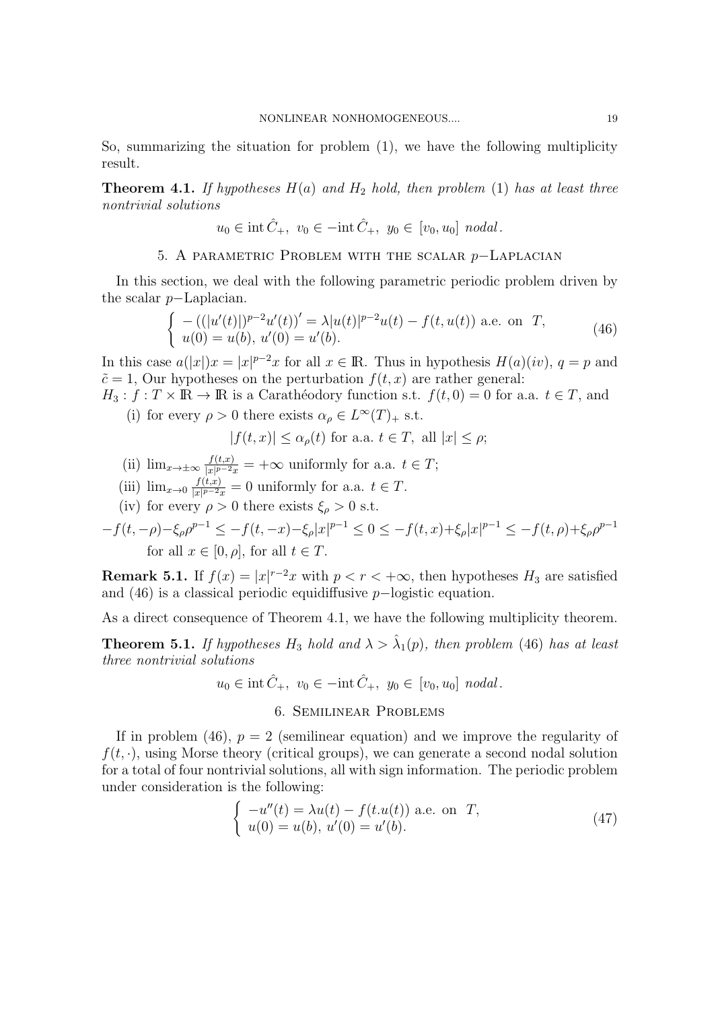So, summarizing the situation for problem (1), we have the following multiplicity result.

**Theorem 4.1.** If hypotheses  $H(a)$  and  $H_2$  hold, then problem (1) has at least three nontrivial solutions

$$
u_0 \in \text{int}\,\hat{C}_+, \ v_0 \in -\text{int}\,\hat{C}_+, \ y_0 \in [v_0, u_0] \ nodal.
$$

# 5. A parametric Problem with the scalar p−Laplacian

In this section, we deal with the following parametric periodic problem driven by the scalar p−Laplacian.

$$
\begin{cases}\n-((|u'(t)|)^{p-2}u'(t))' = \lambda |u(t)|^{p-2}u(t) - f(t, u(t)) \text{ a.e. on } T, \\
u(0) = u(b), u'(0) = u'(b).\n\end{cases}
$$
\n(46)

In this case  $a(|x|)x = |x|^{p-2}x$  for all  $x \in \mathbb{R}$ . Thus in hypothesis  $H(a)(iv)$ ,  $q = p$  and  $\tilde{c} = 1$ , Our hypotheses on the perturbation  $f(t, x)$  are rather general:

 $H_3: f: T \times \mathbb{R} \to \mathbb{R}$  is a Caratheodory function s.t.  $f(t, 0) = 0$  for a.a.  $t \in T$ , and (i) for every  $\rho > 0$  there exists  $\alpha_{\rho} \in L^{\infty}(T)_{+}$  s.t.

$$
|f(t,x)| \le \alpha_{\rho}(t) \text{ for a.a. } t \in T, \text{ all } |x| \le \rho;
$$

- (ii)  $\lim_{x\to\pm\infty}\frac{f(t,x)}{|x|^{p-2}x}$  $\frac{f(t,x)}{|x|^{p-2}x}$  =  $+\infty$  uniformly for a.a.  $t \in T$ ;
- (iii)  $\lim_{x\to 0} \frac{f(t,x)}{|x|^{p-2}x}$  $\frac{f(t,x)}{|x|^{p-2}x} = 0$  uniformly for a.a.  $t \in T$ .
- (iv) for every  $\rho > 0$  there exists  $\xi_{\rho} > 0$  s.t.

 $-f(t, -\rho) - \xi_{\rho} \rho^{p-1} \leq -f(t, -x) - \xi_{\rho} |x|^{p-1} \leq 0 \leq -f(t, x) + \xi_{\rho} |x|^{p-1} \leq -f(t, \rho) + \xi_{\rho} \rho^{p-1}$ for all  $x \in [0, \rho]$ , for all  $t \in T$ .

**Remark 5.1.** If  $f(x) = |x|^{r-2}x$  with  $p < r < +\infty$ , then hypotheses  $H_3$  are satisfied and (46) is a classical periodic equidiffusive p−logistic equation.

As a direct consequence of Theorem 4.1, we have the following multiplicity theorem.

**Theorem 5.1.** If hypotheses  $H_3$  hold and  $\lambda > \hat{\lambda}_1(p)$ , then problem (46) has at least three nontrivial solutions

$$
u_0 \in \text{int} \hat{C}_+, v_0 \in -\text{int} \hat{C}_+, y_0 \in [v_0, u_0] \text{ nodal}.
$$

## 6. Semilinear Problems

If in problem (46),  $p = 2$  (semilinear equation) and we improve the regularity of  $f(t, \cdot)$ , using Morse theory (critical groups), we can generate a second nodal solution for a total of four nontrivial solutions, all with sign information. The periodic problem under consideration is the following:

$$
\begin{cases}\n-u''(t) = \lambda u(t) - f(t.u(t)) \text{ a.e. on } T, \\
u(0) = u(b), u'(0) = u'(b).\n\end{cases}
$$
\n(47)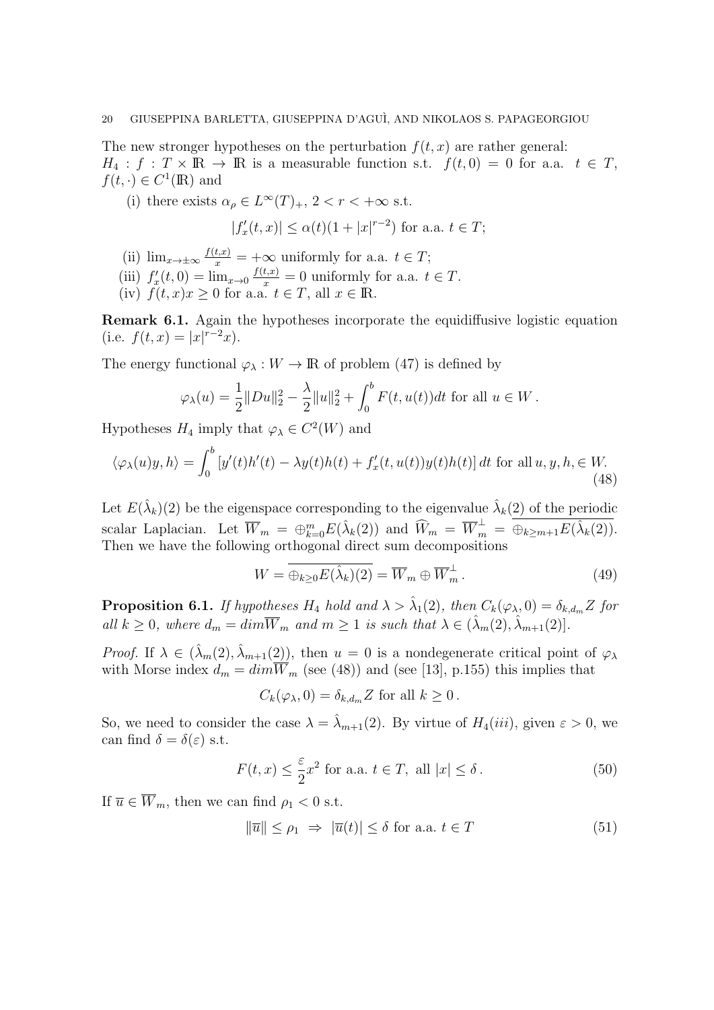The new stronger hypotheses on the perturbation  $f(t, x)$  are rather general:  $H_4: f: T \times \mathbb{R} \to \mathbb{R}$  is a measurable function s.t.  $f(t, 0) = 0$  for a.a.  $t \in T$ ,  $f(t, \cdot) \in C^1(\mathbb{R})$  and

(i) there exists  $\alpha_{\rho} \in L^{\infty}(T)_{+}$ ,  $2 < r < +\infty$  s.t.

$$
|f'_x(t,x)| \le \alpha(t)(1+|x|^{r-2})
$$
 for a.a.  $t \in T$ ;

- (ii)  $\lim_{x \to \pm \infty} \frac{f(t,x)}{x} = +\infty$  uniformly for a.a.  $t \in T$ ;
- (iii)  $f'_x(t,0) = \lim_{x\to 0} \frac{f(t,x)}{x} = 0$  uniformly for a.a.  $t \in T$ .
- (iv)  $f(t, x)x \geq 0$  for a.a.  $t \in T$ , all  $x \in \mathbb{R}$ .

Remark 6.1. Again the hypotheses incorporate the equidiffusive logistic equation (i.e.  $f(t, x) = |x|^{r-2}x$ ).

The energy functional  $\varphi_{\lambda}: W \to \mathbb{R}$  of problem (47) is defined by

$$
\varphi_{\lambda}(u) = \frac{1}{2} ||Du||_2^2 - \frac{\lambda}{2} ||u||_2^2 + \int_0^b F(t, u(t)) dt \text{ for all } u \in W.
$$

Hypotheses  $H_4$  imply that  $\varphi_\lambda \in C^2(W)$  and

$$
\langle \varphi_{\lambda}(u)y, h \rangle = \int_0^b \left[ y'(t)h'(t) - \lambda y(t)h(t) + f'_x(t, u(t))y(t)h(t) \right] dt \text{ for all } u, y, h \in W. \tag{48}
$$

Let  $E(\hat{\lambda}_k)(2)$  be the eigenspace corresponding to the eigenvalue  $\hat{\lambda}_k(2)$  of the periodic scalar Laplacian. Let  $\overline{W}_m = \bigoplus_{k=0}^m E(\hat{\lambda}_k(2))$  and  $\widehat{W}_m = \overline{W}_m^{\perp} = \overline{\bigoplus_{k \ge m+1} E(\hat{\lambda}_k(2))}$ . Then we have the following orthogonal direct sum decompositions

$$
W = \overline{\oplus_{k \ge 0} E(\hat{\lambda}_k)(2)} = \overline{W}_m \oplus \overline{W}_m^{\perp}.
$$
 (49)

**Proposition 6.1.** If hypotheses  $H_4$  hold and  $\lambda > \hat{\lambda}_1(2)$ , then  $C_k(\varphi_\lambda, 0) = \delta_{k,d_m} Z$  for all  $k \geq 0$ , where  $d_m = dim \overline{W}_m$  and  $m \geq 1$  is such that  $\lambda \in (\hat{\lambda}_m(2), \hat{\lambda}_{m+1}(2))$ .

*Proof.* If  $\lambda \in (\hat{\lambda}_m(2), \hat{\lambda}_{m+1}(2))$ , then  $u = 0$  is a nondegenerate critical point of  $\varphi_{\lambda}$ with Morse index  $d_m = dim\overline{W}_m$  (see (48)) and (see [13], p.155) this implies that

$$
C_k(\varphi_\lambda, 0) = \delta_{k,d_m} Z \text{ for all } k \ge 0.
$$

So, we need to consider the case  $\lambda = \hat{\lambda}_{m+1}(2)$ . By virtue of  $H_4(iii)$ , given  $\varepsilon > 0$ , we can find  $\delta = \delta(\varepsilon)$  s.t.

$$
F(t,x) \le \frac{\varepsilon}{2} x^2 \text{ for a.a. } t \in T, \text{ all } |x| \le \delta.
$$
 (50)

If  $\overline{u} \in \overline{W}_m$ , then we can find  $\rho_1 < 0$  s.t.

$$
\|\overline{u}\| \le \rho_1 \implies |\overline{u}(t)| \le \delta \text{ for a.a. } t \in T \tag{51}
$$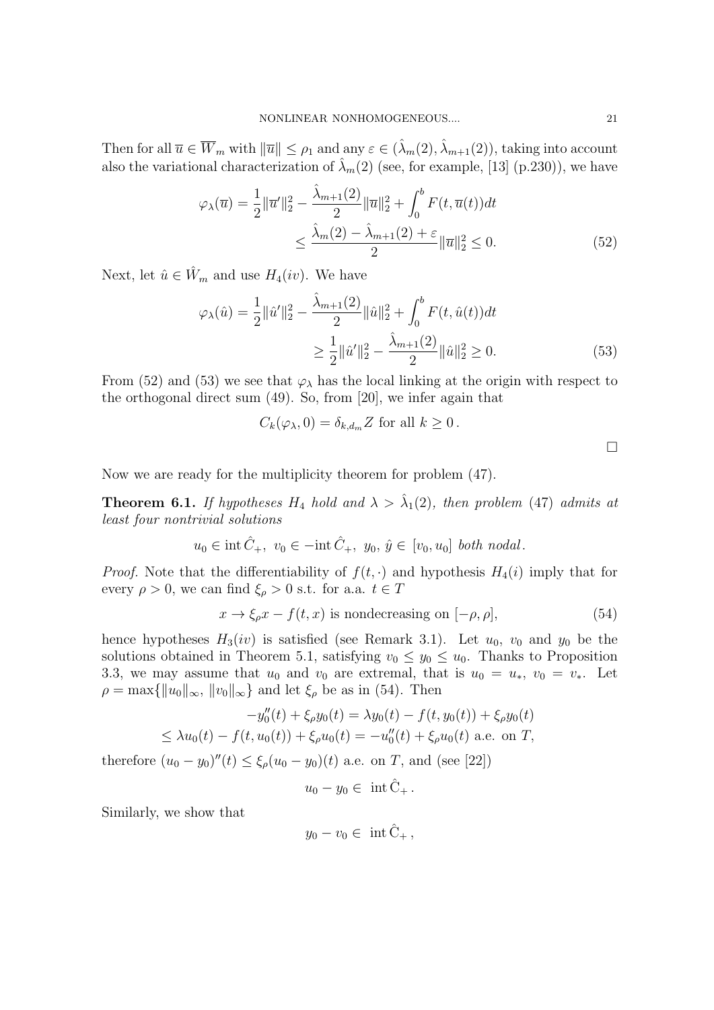Then for all  $\overline{u} \in \overline{W}_m$  with  $\|\overline{u}\| \leq \rho_1$  and any  $\varepsilon \in (\hat{\lambda}_m(2), \hat{\lambda}_{m+1}(2))$ , taking into account also the variational characterization of  $\hat{\lambda}_m(2)$  (see, for example, [13] (p.230)), we have

$$
\varphi_{\lambda}(\overline{u}) = \frac{1}{2} ||\overline{u}'||_2^2 - \frac{\hat{\lambda}_{m+1}(2)}{2} ||\overline{u}||_2^2 + \int_0^b F(t, \overline{u}(t)) dt
$$
  

$$
\leq \frac{\hat{\lambda}_m(2) - \hat{\lambda}_{m+1}(2) + \varepsilon}{2} ||\overline{u}||_2^2 \leq 0.
$$
 (52)

Next, let  $\hat{u} \in \hat{W}_m$  and use  $H_4(iv)$ . We have

$$
\varphi_{\lambda}(\hat{u}) = \frac{1}{2} ||\hat{u}'||_2^2 - \frac{\hat{\lambda}_{m+1}(2)}{2} ||\hat{u}||_2^2 + \int_0^b F(t, \hat{u}(t)) dt
$$
  

$$
\geq \frac{1}{2} ||\hat{u}'||_2^2 - \frac{\hat{\lambda}_{m+1}(2)}{2} ||\hat{u}||_2^2 \geq 0.
$$
 (53)

From (52) and (53) we see that  $\varphi_{\lambda}$  has the local linking at the origin with respect to the orthogonal direct sum (49). So, from [20], we infer again that

$$
C_k(\varphi_\lambda, 0) = \delta_{k,d_m} Z \text{ for all } k \ge 0.
$$

 $\Box$ 

Now we are ready for the multiplicity theorem for problem (47).

**Theorem 6.1.** If hypotheses  $H_4$  hold and  $\lambda > \hat{\lambda}_1(2)$ , then problem (47) admits at least four nontrivial solutions

$$
u_0 \in \text{int }\hat{C}_+, v_0 \in -\text{int }\hat{C}_+, y_0, \hat{y} \in [v_0, u_0] \text{ both nodal.}
$$

*Proof.* Note that the differentiability of  $f(t, \cdot)$  and hypothesis  $H_4(i)$  imply that for every  $\rho > 0$ , we can find  $\xi_{\rho} > 0$  s.t. for a.a.  $t \in T$ 

$$
x \to \xi_{\rho} x - f(t, x) \text{ is nondecreasing on } [-\rho, \rho], \tag{54}
$$

hence hypotheses  $H_3(iv)$  is satisfied (see Remark 3.1). Let  $u_0$ ,  $v_0$  and  $y_0$  be the solutions obtained in Theorem 5.1, satisfying  $v_0 \leq y_0 \leq u_0$ . Thanks to Proposition 3.3, we may assume that  $u_0$  and  $v_0$  are extremal, that is  $u_0 = u_*, v_0 = v_*$ . Let  $\rho = \max\{\Vert u_0 \Vert_\infty, \, \Vert v_0 \Vert_\infty\}$  and let  $\xi_\rho$  be as in (54). Then

$$
-y''_0(t) + \xi_\rho y_0(t) = \lambda y_0(t) - f(t, y_0(t)) + \xi_\rho y_0(t)
$$
  

$$
\leq \lambda u_0(t) - f(t, u_0(t)) + \xi_\rho u_0(t) = -u''_0(t) + \xi_\rho u_0(t)
$$
 a.e. on T,

therefore  $(u_0 - y_0)''(t) \le \xi_\rho(u_0 - y_0)(t)$  a.e. on T, and (see [22])

$$
u_0 - y_0 \in \int \int \hat{C}_+.
$$

Similarly, we show that

$$
y_0 - v_0 \in \int \dot{\mathbf{C}}_+,
$$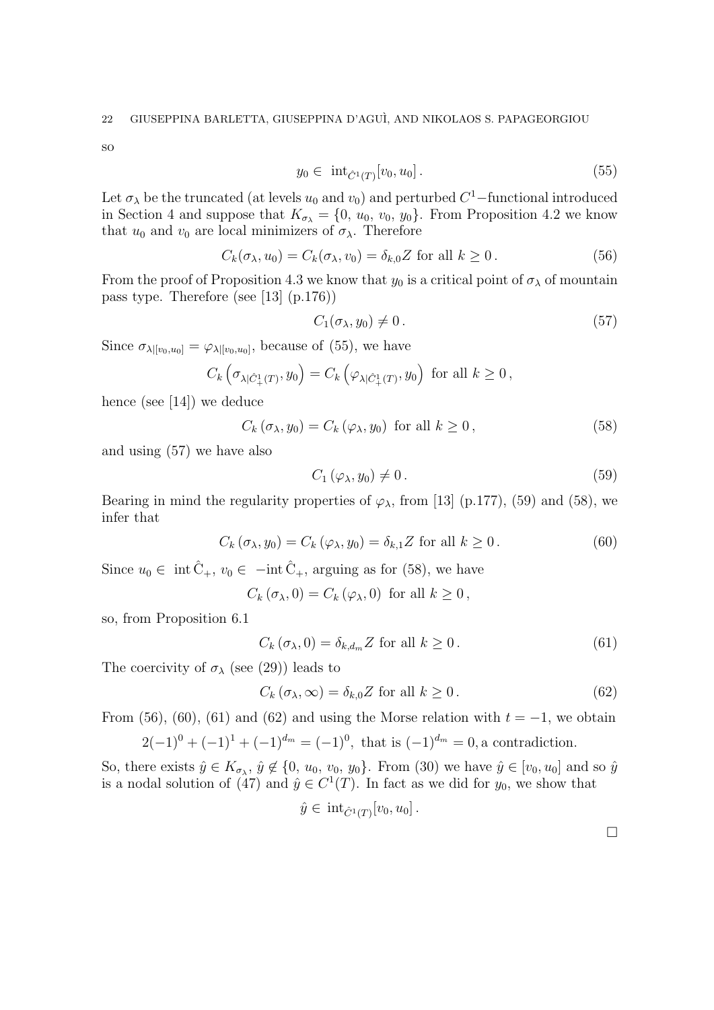so

$$
y_0 \in \text{int}_{\hat{C}^1(T)}[v_0, u_0]. \tag{55}
$$

Let  $\sigma_{\lambda}$  be the truncated (at levels  $u_0$  and  $v_0$ ) and perturbed  $C^1$ -functional introduced in Section 4 and suppose that  $K_{\sigma_{\lambda}} = \{0, u_0, v_0, y_0\}$ . From Proposition 4.2 we know that  $u_0$  and  $v_0$  are local minimizers of  $\sigma_{\lambda}$ . Therefore

$$
C_k(\sigma_\lambda, u_0) = C_k(\sigma_\lambda, v_0) = \delta_{k,0} Z \text{ for all } k \ge 0.
$$
 (56)

From the proof of Proposition 4.3 we know that  $y_0$  is a critical point of  $\sigma_{\lambda}$  of mountain pass type. Therefore (see [13] (p.176))

$$
C_1(\sigma_\lambda, y_0) \neq 0. \tag{57}
$$

Since  $\sigma_{\lambda|[v_0,u_0]} = \varphi_{\lambda|[v_0,u_0]}$ , because of (55), we have

$$
C_k\left(\sigma_{\lambda|\hat{C}^1_+(T)},y_0\right) = C_k\left(\varphi_{\lambda|\hat{C}^1_+(T)},y_0\right) \text{ for all } k \ge 0,
$$

hence (see [14]) we deduce

$$
C_k(\sigma_\lambda, y_0) = C_k(\varphi_\lambda, y_0) \text{ for all } k \ge 0,
$$
\n
$$
(58)
$$

and using (57) we have also

$$
C_1(\varphi_\lambda, y_0) \neq 0. \tag{59}
$$

Bearing in mind the regularity properties of  $\varphi_{\lambda}$ , from [13] (p.177), (59) and (58), we infer that

$$
C_k(\sigma_\lambda, y_0) = C_k(\varphi_\lambda, y_0) = \delta_{k,1} Z \text{ for all } k \ge 0.
$$
 (60)

Since  $u_0 \in \text{int} \hat{C}_+, v_0 \in -\text{int} \hat{C}_+, \text{arguing as for (58), we have}$ 

 $C_k(\sigma_{\lambda},0)=C_k(\varphi_{\lambda},0)$  for all  $k\geq 0$ ,

so, from Proposition 6.1

$$
C_k(\sigma_\lambda, 0) = \delta_{k, d_m} Z \text{ for all } k \ge 0.
$$
 (61)

The coercivity of  $\sigma_{\lambda}$  (see (29)) leads to

$$
C_k(\sigma_\lambda, \infty) = \delta_{k,0} Z \text{ for all } k \ge 0.
$$
 (62)

From (56), (60), (61) and (62) and using the Morse relation with  $t = -1$ , we obtain  $2(-1)^{0} + (-1)^{1} + (-1)^{d_m} = (-1)^{0}$ , that is  $(-1)^{d_m} = 0$ , a contradiction.

So, there exists  $\hat{y} \in K_{\sigma_{\lambda}}, \hat{y} \notin \{0, u_0, v_0, y_0\}$ . From (30) we have  $\hat{y} \in [v_0, u_0]$  and so  $\hat{y}$ is a nodal solution of (47) and  $\hat{y} \in C^1(T)$ . In fact as we did for  $y_0$ , we show that

$$
\hat{y} \in \text{int}_{\hat{C}^1(T)}[v_0, u_0].
$$

 $\Box$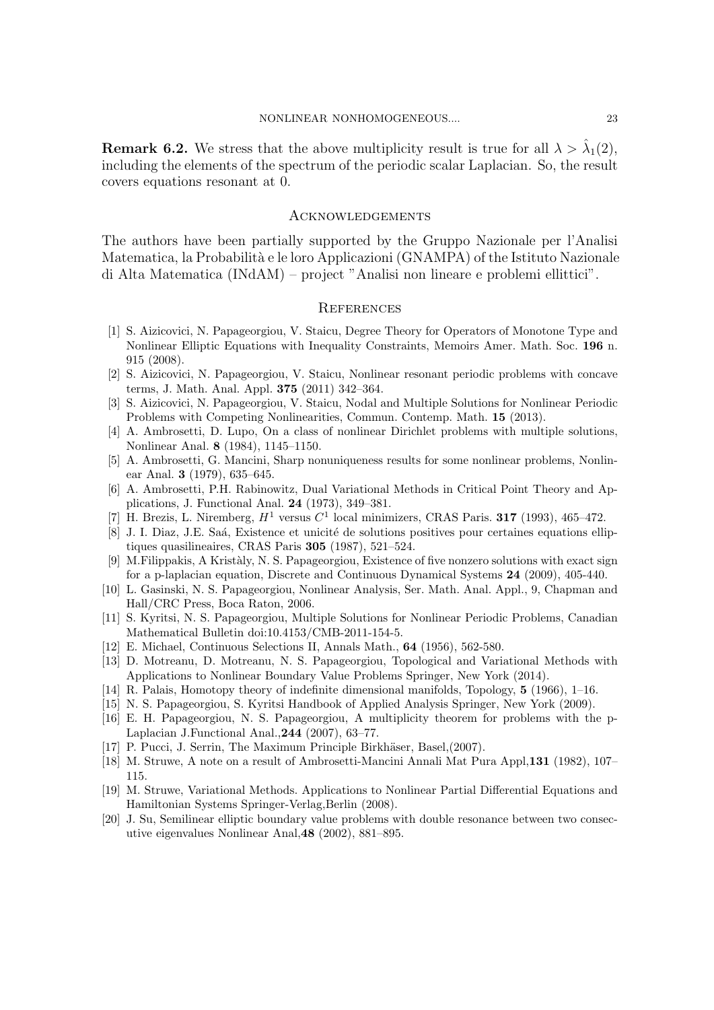**Remark 6.2.** We stress that the above multiplicity result is true for all  $\lambda > \hat{\lambda}_1(2)$ , including the elements of the spectrum of the periodic scalar Laplacian. So, the result covers equations resonant at 0.

## **ACKNOWLEDGEMENTS**

The authors have been partially supported by the Gruppo Nazionale per l'Analisi Matematica, la Probabilità e le loro Applicazioni (GNAMPA) of the Istituto Nazionale di Alta Matematica (INdAM) – project "Analisi non lineare e problemi ellittici".

## **REFERENCES**

- [1] S. Aizicovici, N. Papageorgiou, V. Staicu, Degree Theory for Operators of Monotone Type and Nonlinear Elliptic Equations with Inequality Constraints, Memoirs Amer. Math. Soc. 196 n. 915 (2008).
- [2] S. Aizicovici, N. Papageorgiou, V. Staicu, Nonlinear resonant periodic problems with concave terms, J. Math. Anal. Appl. 375 (2011) 342–364.
- [3] S. Aizicovici, N. Papageorgiou, V. Staicu, Nodal and Multiple Solutions for Nonlinear Periodic Problems with Competing Nonlinearities, Commun. Contemp. Math. 15 (2013).
- [4] A. Ambrosetti, D. Lupo, On a class of nonlinear Dirichlet problems with multiple solutions, Nonlinear Anal. 8 (1984), 1145–1150.
- [5] A. Ambrosetti, G. Mancini, Sharp nonuniqueness results for some nonlinear problems, Nonlinear Anal. 3 (1979), 635–645.
- [6] A. Ambrosetti, P.H. Rabinowitz, Dual Variational Methods in Critical Point Theory and Applications, J. Functional Anal. 24 (1973), 349–381.
- [7] H. Brezis, L. Niremberg,  $H^1$  versus  $C^1$  local minimizers, CRAS Paris. **317** (1993), 465-472.
- [8] J. I. Diaz, J.E. Saá, Existence et unicité de solutions positives pour certaines equations elliptiques quasilineaires, CRAS Paris 305 (1987), 521–524.
- [9] M.Filippakis, A Krist`aly, N. S. Papageorgiou, Existence of five nonzero solutions with exact sign for a p-laplacian equation, Discrete and Continuous Dynamical Systems 24 (2009), 405-440.
- [10] L. Gasinski, N. S. Papageorgiou, Nonlinear Analysis, Ser. Math. Anal. Appl., 9, Chapman and Hall/CRC Press, Boca Raton, 2006.
- [11] S. Kyritsi, N. S. Papageorgiou, Multiple Solutions for Nonlinear Periodic Problems, Canadian Mathematical Bulletin doi:10.4153/CMB-2011-154-5.
- [12] E. Michael, Continuous Selections II, Annals Math., 64 (1956), 562-580.
- [13] D. Motreanu, D. Motreanu, N. S. Papageorgiou, Topological and Variational Methods with Applications to Nonlinear Boundary Value Problems Springer, New York (2014).
- [14] R. Palais, Homotopy theory of indefinite dimensional manifolds, Topology, 5 (1966), 1–16.
- [15] N. S. Papageorgiou, S. Kyritsi Handbook of Applied Analysis Springer, New York (2009).
- [16] E. H. Papageorgiou, N. S. Papageorgiou, A multiplicity theorem for problems with the p-Laplacian J.Functional Anal.,244 (2007), 63–77.
- [17] P. Pucci, J. Serrin, The Maximum Principle Birkhäser, Basel, (2007).
- [18] M. Struwe, A note on a result of Ambrosetti-Mancini Annali Mat Pura Appl,131 (1982), 107– 115.
- [19] M. Struwe, Variational Methods. Applications to Nonlinear Partial Differential Equations and Hamiltonian Systems Springer-Verlag,Berlin (2008).
- [20] J. Su, Semilinear elliptic boundary value problems with double resonance between two consecutive eigenvalues Nonlinear Anal,48 (2002), 881–895.